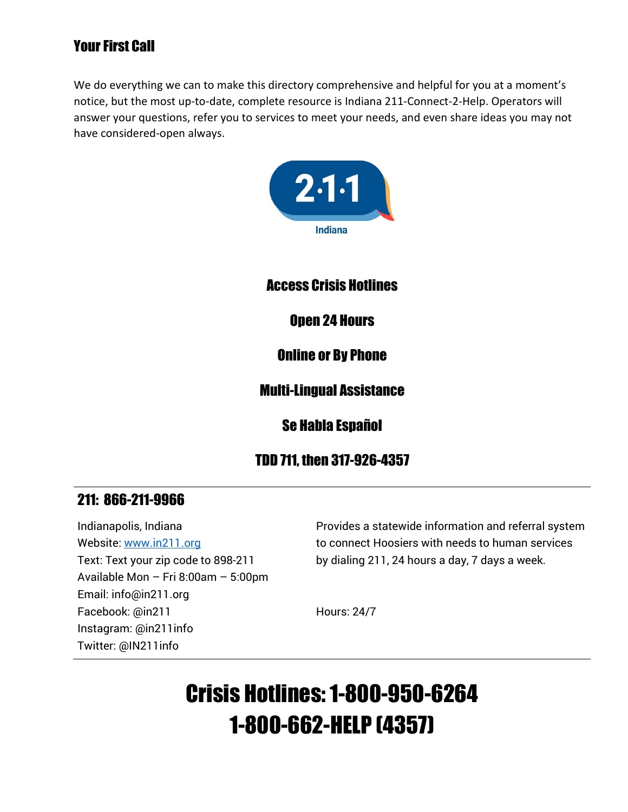# Your First Call

We do everything we can to make this directory comprehensive and helpful for you at a moment's notice, but the most up-to-date, complete resource is Indiana 211-Connect-2-Help. Operators will answer your questions, refer you to services to meet your needs, and even share ideas you may not have considered-open always.



### Access Crisis Hotlines

# Open 24 Hours

### Online or By Phone

# Multi-Lingual Assistance

Se Habla Español

# TDD 711, then 317-926-4357

# 211: 866-211-9966

Indianapolis, Indiana Website: [www.in211.org](http://www.in211.org/) Text: Text your zip code to 898-211 Available Mon – Fri 8:00am – 5:00pm Email: info@in211.org Facebook: @in211 Instagram: @in211info Twitter: @IN211info

Provides a statewide information and referral system to connect Hoosiers with needs to human services by dialing 211, 24 hours a day, 7 days a week.

Hours: 24/7

# Crisis Hotlines: 1-800-950-6264 1-800-662-HELP (4357)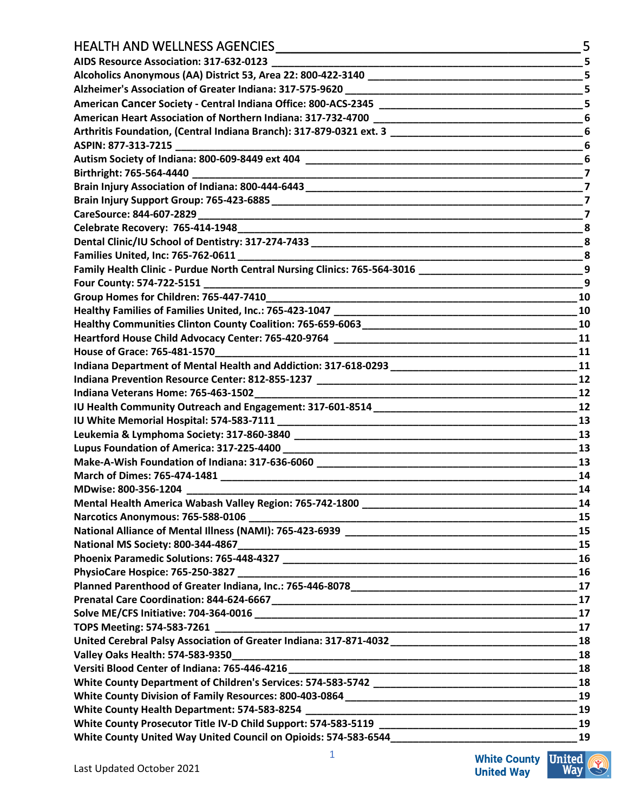# $HEAITH$  AND WELLNESS AGENCIES

| TILALTITANU WELLINLƏƏ AĞLINCILƏ                                                                                      |                         |
|----------------------------------------------------------------------------------------------------------------------|-------------------------|
| AIDS Resource Association: 317-632-0123                                                                              | 5                       |
|                                                                                                                      | 5                       |
|                                                                                                                      | 5                       |
|                                                                                                                      | 5                       |
|                                                                                                                      |                         |
|                                                                                                                      |                         |
|                                                                                                                      | 6                       |
|                                                                                                                      | 6                       |
|                                                                                                                      | 7                       |
|                                                                                                                      | $\overline{\mathbf{z}}$ |
|                                                                                                                      | 7                       |
|                                                                                                                      | 7                       |
|                                                                                                                      | $_{\rm 8}$              |
|                                                                                                                      | 8                       |
|                                                                                                                      | 8                       |
|                                                                                                                      | 9                       |
| Four County: 574-722-5151                                                                                            | 9                       |
| Group Homes for Children: 765-447-7410                                                                               | 10                      |
|                                                                                                                      | 10                      |
|                                                                                                                      | 10                      |
|                                                                                                                      | 11                      |
| <u> 1980 - Jan Barbara Barbara, manazarta da kasas da shekara 1980 - André a Santa Barbara a Santa Barbara a San</u> | 11                      |
|                                                                                                                      | 11                      |
|                                                                                                                      | 12                      |
|                                                                                                                      | 12                      |
|                                                                                                                      |                         |
|                                                                                                                      | 13                      |
|                                                                                                                      | 13                      |
|                                                                                                                      | 13                      |
|                                                                                                                      | 13                      |
|                                                                                                                      | 14                      |
| MDwise: 800-356-1204                                                                                                 | 14                      |
| Mental Health America Wabash Valley Region: 765-742-1800                                                             | 14                      |
|                                                                                                                      | 15                      |
|                                                                                                                      | 15                      |
|                                                                                                                      | 15                      |
|                                                                                                                      | 16                      |
|                                                                                                                      |                         |
|                                                                                                                      | 17                      |
|                                                                                                                      | 17                      |
|                                                                                                                      | 17                      |
|                                                                                                                      |                         |
|                                                                                                                      |                         |
|                                                                                                                      | 18                      |
|                                                                                                                      | 18                      |
|                                                                                                                      |                         |
|                                                                                                                      |                         |
|                                                                                                                      | 19                      |
|                                                                                                                      | 19                      |
|                                                                                                                      |                         |
|                                                                                                                      | 19                      |

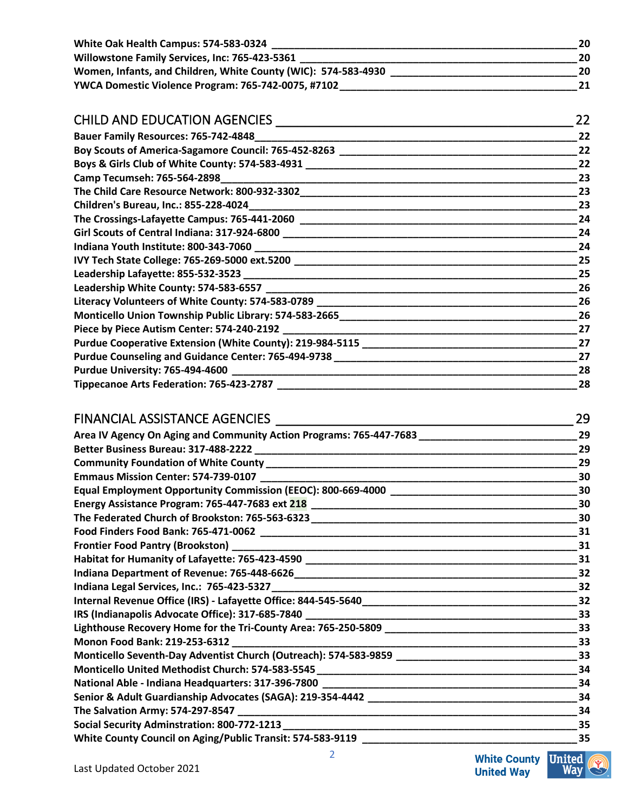| White Oak Health Campus: 574-583-0324                          | 20 |
|----------------------------------------------------------------|----|
| Willowstone Family Services, Inc: 765-423-5361                 | 20 |
| Women, Infants, and Children, White County (WIC): 574-583-4930 | 20 |
| YWCA Domestic Violence Program: 765-742-0075, #7102            |    |

#### CHILD AND EDUCATION AGENCIES \_\_\_\_\_\_\_\_\_\_\_\_\_\_\_\_\_\_\_\_\_\_\_\_\_\_\_\_\_\_\_\_\_\_\_\_\_\_\_\_\_ 22 **Bauer Family Resources: 765-742-4848\_\_\_\_\_\_\_\_\_\_\_\_\_\_\_\_\_\_\_\_\_\_\_\_\_\_\_\_\_\_\_\_\_\_\_\_\_\_\_\_\_\_\_\_\_\_\_\_\_\_\_\_\_\_\_\_\_22 Boy Scouts of America-Sagamore Council: 765-452-8263 \_\_\_\_\_\_\_\_\_\_\_\_\_\_\_\_\_\_\_\_\_\_\_\_\_\_\_\_\_\_\_\_\_\_\_\_\_\_\_\_\_\_22 Boys & Girls Club of White County: 574-583-4931 \_\_\_\_\_\_\_\_\_\_\_\_\_\_\_\_\_\_\_\_\_\_\_\_\_\_\_\_\_\_\_\_\_\_\_\_\_\_\_\_\_\_\_\_\_\_\_\_22 Camp Tecumseh: 765-564-2898\_\_\_\_\_\_\_\_\_\_\_\_\_\_\_\_\_\_\_\_\_\_\_\_\_\_\_\_\_\_\_\_\_\_\_\_\_\_\_\_\_\_\_\_\_\_\_\_\_\_\_\_\_\_\_\_\_\_\_\_\_\_\_23 The Child Care Resource Network: 800-932-3302\_\_\_\_\_\_\_\_\_\_\_\_\_\_\_\_\_\_\_\_\_\_\_\_\_\_\_\_\_\_\_\_\_\_\_\_\_\_\_\_\_\_\_\_\_\_\_\_\_23 Children's Bureau, Inc.: 855-228-4024\_\_\_\_\_\_\_\_\_\_\_\_\_\_\_\_\_\_\_\_\_\_\_\_\_\_\_\_\_\_\_\_\_\_\_\_\_\_\_\_\_\_\_\_\_\_\_\_\_\_\_\_\_\_\_\_\_\_23 The Crossings-Lafayette Campus: 765-441-2060 \_\_\_\_\_\_\_\_\_\_\_\_\_\_\_\_\_\_\_\_\_\_\_\_\_\_\_\_\_\_\_\_\_\_\_\_\_\_\_\_\_\_\_\_\_\_\_\_\_24 Girl Scouts of Central Indiana: 317-924-6800 \_\_\_\_\_\_\_\_\_\_\_\_\_\_\_\_\_\_\_\_\_\_\_\_\_\_\_\_\_\_\_\_\_\_\_\_\_\_\_\_\_\_\_\_\_\_\_\_\_\_\_\_24 Indiana Youth Institute: 800-343-7060 \_\_\_\_\_\_\_\_\_\_\_\_\_\_\_\_\_\_\_\_\_\_\_\_\_\_\_\_\_\_\_\_\_\_\_\_\_\_\_\_\_\_\_\_\_\_\_\_\_\_\_\_\_\_\_\_\_24 IVY Tech State College: 765-269-5000 ext.5200 \_\_\_\_\_\_\_\_\_\_\_\_\_\_\_\_\_\_\_\_\_\_\_\_\_\_\_\_\_\_\_\_\_\_\_\_\_\_\_\_\_\_\_\_\_\_\_\_\_\_25 Leadership Lafayette: 855-532-3523 \_\_\_\_\_\_\_\_\_\_\_\_\_\_\_\_\_\_\_\_\_\_\_\_\_\_\_\_\_\_\_\_\_\_\_\_\_\_\_\_\_\_\_\_\_\_\_\_\_\_\_\_\_\_\_\_\_\_\_25 Leadership White County: 574-583-6557 \_\_\_\_\_\_\_\_\_\_\_\_\_\_\_\_\_\_\_\_\_\_\_\_\_\_\_\_\_\_\_\_\_\_\_\_\_\_\_\_\_\_\_\_\_\_\_\_\_\_\_\_\_\_\_26 Literacy Volunteers of White County: 574-583-0789 \_\_\_\_\_\_\_\_\_\_\_\_\_\_\_\_\_\_\_\_\_\_\_\_\_\_\_\_\_\_\_\_\_\_\_\_\_\_\_\_\_\_\_\_\_\_26 Monticello Union Township Public Library: 574-583-2665\_\_\_\_\_\_\_\_\_\_\_\_\_\_\_\_\_\_\_\_\_\_\_\_\_\_\_\_\_\_\_\_\_\_\_\_\_\_\_\_\_\_26 Piece by Piece Autism Center: 574-240-2192 \_\_\_\_\_\_\_\_\_\_\_\_\_\_\_\_\_\_\_\_\_\_\_\_\_\_\_\_\_\_\_\_\_\_\_\_\_\_\_\_\_\_\_\_\_\_\_\_\_\_\_\_27 Purdue Cooperative Extension (White County): 219-984-5115 \_\_\_\_\_\_\_\_\_\_\_\_\_\_\_\_\_\_\_\_\_\_\_\_\_\_\_\_\_\_\_\_\_\_\_\_\_\_27 Purdue Counseling and Guidance Center: 765-494-9738 \_\_\_\_\_\_\_\_\_\_\_\_\_\_\_\_\_\_\_\_\_\_\_\_\_\_\_\_\_\_\_\_\_\_\_\_\_\_\_\_\_\_\_27 Purdue University: 765-494-4600 \_\_\_\_\_\_\_\_\_\_\_\_\_\_\_\_\_\_\_\_\_\_\_\_\_\_\_\_\_\_\_\_\_\_\_\_\_\_\_\_\_\_\_\_\_\_\_\_\_\_\_\_\_\_\_\_\_\_\_\_\_28 Tippecanoe Arts Federation: 765-423-2787 \_\_\_\_\_\_\_\_\_\_\_\_\_\_\_\_\_\_\_\_\_\_\_\_\_\_\_\_\_\_\_\_\_\_\_\_\_\_\_\_\_\_\_\_\_\_\_\_\_\_\_\_\_28**

#### FINANCIAL ASSISTANCE AGENCIES \_\_\_\_\_\_\_\_\_\_\_\_\_\_\_\_\_\_\_\_\_\_\_\_\_\_\_\_\_\_\_\_\_\_\_\_\_\_\_\_\_ 29

| Area IV Agency On Aging and Community Action Programs: 765-447-7683 ________________________________ | 29 |
|------------------------------------------------------------------------------------------------------|----|
|                                                                                                      | 29 |
|                                                                                                      | 29 |
|                                                                                                      | 30 |
| Equal Employment Opportunity Commission (EEOC): 800-669-4000 ____________________                    | 30 |
| Energy Assistance Program: 765-447-7683 ext 218 ________________________________                     | 30 |
| The Federated Church of Brookston: 765-563-6323 ________________________________                     | 30 |
|                                                                                                      | 31 |
|                                                                                                      | 31 |
| Habitat for Humanity of Lafayette: 765-423-4590 ________________________________                     | 31 |
|                                                                                                      | 32 |
|                                                                                                      | 32 |
|                                                                                                      | 32 |
|                                                                                                      | 33 |
|                                                                                                      | 33 |
|                                                                                                      | 33 |
|                                                                                                      | 33 |
| Monticello United Methodist Church: 574-583-5545 _______________________________                     | 34 |
|                                                                                                      | 34 |
|                                                                                                      | 34 |
|                                                                                                      | 34 |
|                                                                                                      | 35 |
| White County Council on Aging/Public Transit: 574-583-9119 _____________________                     | 35 |

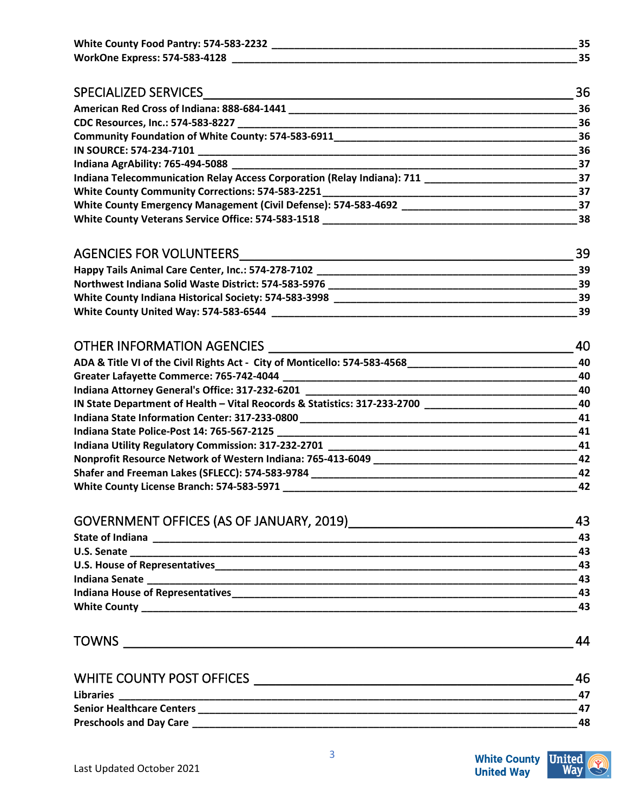| White County Food Pantry: 574-583-2232 |  |
|----------------------------------------|--|
| <b>WorkOne Express: 574-583-4128</b>   |  |

| <b>SPECIALIZED SERVICES</b>                                             | 36   |
|-------------------------------------------------------------------------|------|
| American Red Cross of Indiana: 888-684-1441                             | 36   |
| CDC Resources, Inc.: 574-583-8227                                       | -36  |
| <b>Community Foundation of White County: 574-583-6911</b>               | -36  |
|                                                                         | 36   |
| Indiana AgrAbility: 765-494-5088                                        | - 37 |
| Indiana Telecommunication Relay Access Corporation (Relay Indiana): 711 | - 37 |
| White County Community Corrections: 574-583-2251                        | - 37 |
| White County Emergency Management (Civil Defense): 574-583-4692         | 37   |
| White County Veterans Service Office: 574-583-1518                      | 38   |

#### AGENCIES FOR VOLUNTEERS ZEEL AND THE SERVICE OF THE SERVICE SERVICE SERVICE SERVICE SERVICE SERVICE SERVICE SE

| Happy Tails Animal Care Center, Inc.: 574-278-7102    |    |
|-------------------------------------------------------|----|
| Northwest Indiana Solid Waste District: 574-583-5976  | 39 |
| White County Indiana Historical Society: 574-583-3998 |    |
| White County United Way: 574-583-6544                 |    |

| <b>OTHER INFORMATION AGENCIES</b>                                         | 40  |
|---------------------------------------------------------------------------|-----|
| ADA & Title VI of the Civil Rights Act - City of Monticello: 574-583-4568 | 40  |
| Greater Lafayette Commerce: 765-742-4044                                  | 40  |
| Indiana Attorney General's Office: 317-232-6201                           | 40  |
| IN State Department of Health - Vital Reocords & Statistics: 317-233-2700 | 40  |
| Indiana State Information Center: 317-233-0800                            | 41  |
|                                                                           | 41  |
| Indiana Utility Regulatory Commission: 317-232-2701                       | -41 |
| Nonprofit Resource Network of Western Indiana: 765-413-6049               | -42 |
| Shafer and Freeman Lakes (SFLECC): 574-583-9784                           | 42  |
| White County License Branch: 574-583-5971                                 | 42  |

#### GOVERNMENT OFFICES (AS OF JANUARY, 2019)<br>43 **State of Indiana 13.1 and 20.2 and 20.2 and 20.2 and 20.2 and 20.2 and 20.2 and 20.2 and 20.2 and 20.2 and 20.2 and 20.2 and 20.2 and 20.2 and 20.2 and 20.2 and 20.2 and 20.2 and 20.2 and 20.2 and 20.2 and 20.2 and 20.2 U.S. Senate \_\_\_\_\_\_\_\_\_\_\_\_\_\_\_\_\_\_\_\_\_\_\_\_\_\_\_\_\_\_\_\_\_\_\_\_\_\_\_\_\_\_\_\_\_\_\_\_\_\_\_\_\_\_\_\_\_\_\_\_\_\_\_\_\_\_\_\_\_\_\_\_\_\_\_\_\_\_\_43 U.S. House of Representatives\_\_\_\_\_\_\_\_\_\_\_\_\_\_\_\_\_\_\_\_\_\_\_\_\_\_\_\_\_\_\_\_\_\_\_\_\_\_\_\_\_\_\_\_\_\_\_\_\_\_\_\_\_\_\_\_\_\_\_\_\_\_\_\_43 Indiana Senate \_\_\_\_\_\_\_\_\_\_\_\_\_\_\_\_\_\_\_\_\_\_\_\_\_\_\_\_\_\_\_\_\_\_\_\_\_\_\_\_\_\_\_\_\_\_\_\_\_\_\_\_\_\_\_\_\_\_\_\_\_\_\_\_\_\_\_\_\_\_\_\_\_\_\_\_43 Indiana House of Representatives\_\_\_\_\_\_\_\_\_\_\_\_\_\_\_\_\_\_\_\_\_\_\_\_\_\_\_\_\_\_\_\_\_\_\_\_\_\_\_\_\_\_\_\_\_\_\_\_\_\_\_\_\_\_\_\_\_\_\_\_\_43 White County \_\_\_\_\_\_\_\_\_\_\_\_\_\_\_\_\_\_\_\_\_\_\_\_\_\_\_\_\_\_\_\_\_\_\_\_\_\_\_\_\_\_\_\_\_\_\_\_\_\_\_\_\_\_\_\_\_\_\_\_\_\_\_\_\_\_\_\_\_\_\_\_\_\_\_\_\_43**

TOWNS \_\_\_\_\_\_\_\_\_\_\_\_\_\_\_\_\_\_\_\_\_\_\_\_\_\_\_\_\_\_\_\_\_\_\_\_\_\_\_\_\_\_\_\_\_\_\_\_\_\_\_\_\_\_\_\_\_\_\_\_\_\_ 44

| WHITE COUNTY POST OFFICES        |    |
|----------------------------------|----|
| <b>Libraries</b>                 |    |
| <b>Senior Healthcare Centers</b> |    |
| <b>Preschools and Day Care</b>   | 48 |

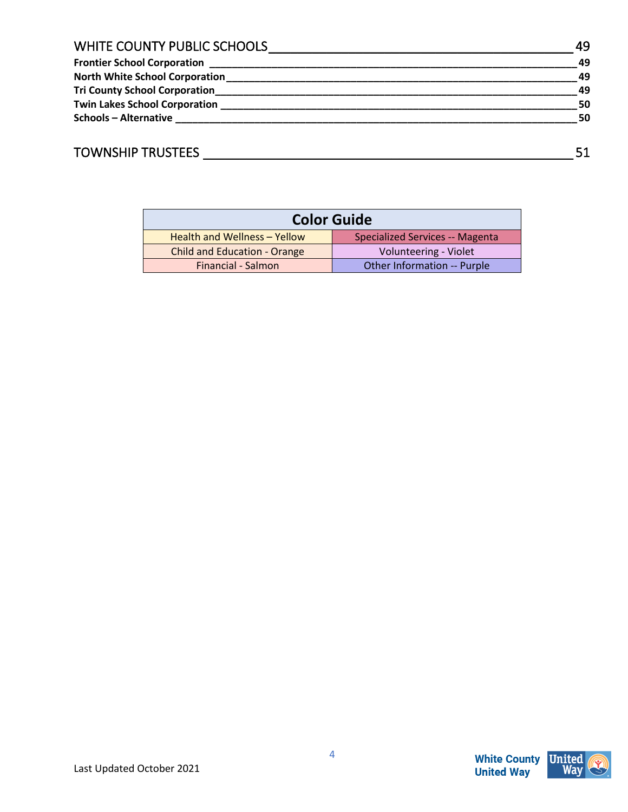| WHITE COUNTY PUBLIC SCHOOLS          | 49 |
|--------------------------------------|----|
| <b>Frontier School Corporation</b>   | 49 |
| North White School Corporation       | 49 |
| <b>Tri County School Corporation</b> | 49 |
| <b>Twin Lakes School Corporation</b> | 50 |
| <b>Schools - Alternative</b>         | 50 |
|                                      |    |

# TOWNSHIP TRUSTEES \_\_\_\_\_\_\_\_\_\_\_\_\_\_\_\_\_\_\_\_\_\_\_\_\_\_\_\_\_\_\_\_\_\_\_\_\_\_\_\_\_\_\_\_\_\_\_\_\_\_\_ 51

| <b>Color Guide</b>                  |                                 |
|-------------------------------------|---------------------------------|
| Health and Wellness - Yellow        | Specialized Services -- Magenta |
| <b>Child and Education - Orange</b> | Volunteering - Violet           |
| Financial - Salmon                  | Other Information -- Purple     |



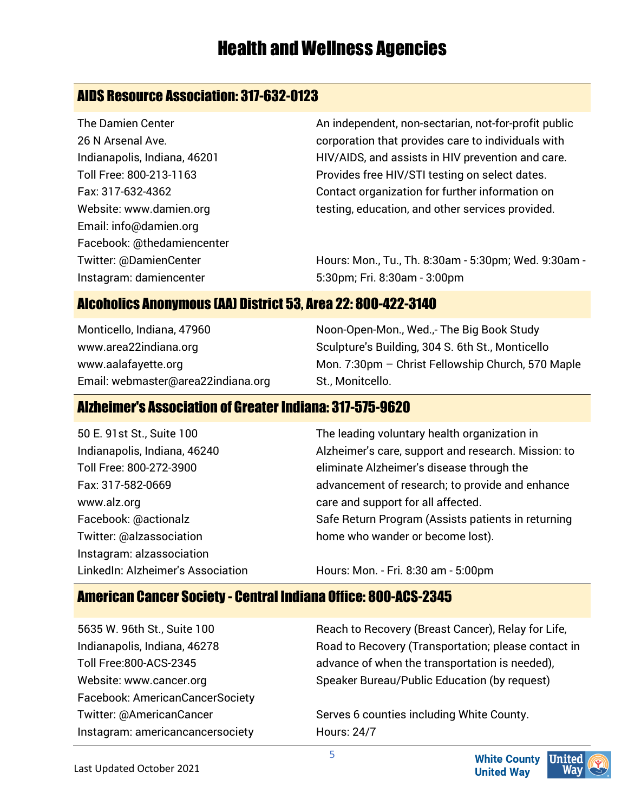# Health and Wellness Agencies

# AIDS Resource Association: 317-632-0123

The Damien Center 26 N Arsenal Ave. Indianapolis, Indiana, 46201 Toll Free: 800-213-1163 Fax: 317-632-4362 Website: www.damien.org Email: info@damien.org Facebook: @thedamiencenter Twitter: @DamienCenter Instagram: damiencenter

An independent, non-sectarian, not-for-profit public corporation that provides care to individuals with HIV/AIDS, and assists in HIV prevention and care. Provides free HIV/STI testing on select dates. Contact organization for further information on testing, education, and other services provided.

Hours: Mon., Tu., Th. 8:30am - 5:30pm; Wed. 9:30am - 5:30pm; Fri. 8:30am - 3:00pm

#### Alcoholics Anonymous (AA) District 53, Area 22: 800-422-3140

Monticello, Indiana, 47960 www.area22indiana.org www.aalafayette.org Email: webmaster@area22indiana.org Noon-Open-Mon., Wed.,- The Big Book Study Sculpture's Building, 304 S. 6th St., Monticello Mon. 7:30pm – Christ Fellowship Church, 570 Maple St., Monitcello.

#### Alzheimer's Association of Greater Indiana: 317-575-9620

| 50 E. 91st St., Suite 100         | The leading voluntary health organization in        |
|-----------------------------------|-----------------------------------------------------|
| Indianapolis, Indiana, 46240      | Alzheimer's care, support and research. Mission: to |
| Toll Free: 800-272-3900           | eliminate Alzheimer's disease through the           |
| Fax: 317-582-0669                 | advancement of research; to provide and enhance     |
| www.alz.org                       | care and support for all affected.                  |
| Facebook: @actionalz              | Safe Return Program (Assists patients in returning  |
| Twitter: @alzassociation          | home who wander or become lost).                    |
| Instagram: alzassociation         |                                                     |
| LinkedIn: Alzheimer's Association | Hours: Mon. - Fri. 8:30 am - 5:00pm                 |

### American Cancer Society - Central Indiana Office: 800-ACS-2345

5635 W. 96th St., Suite 100 Indianapolis, Indiana, 46278 Toll Free:800-ACS-2345 Website: www.cancer.org Facebook: AmericanCancerSociety Twitter: @AmericanCancer Instagram: americancancersociety

Reach to Recovery (Breast Cancer), Relay for Life, Road to Recovery (Transportation; please contact in advance of when the transportation is needed), Speaker Bureau/Public Education (by request)

Serves 6 counties including White County. Hours: 24/7

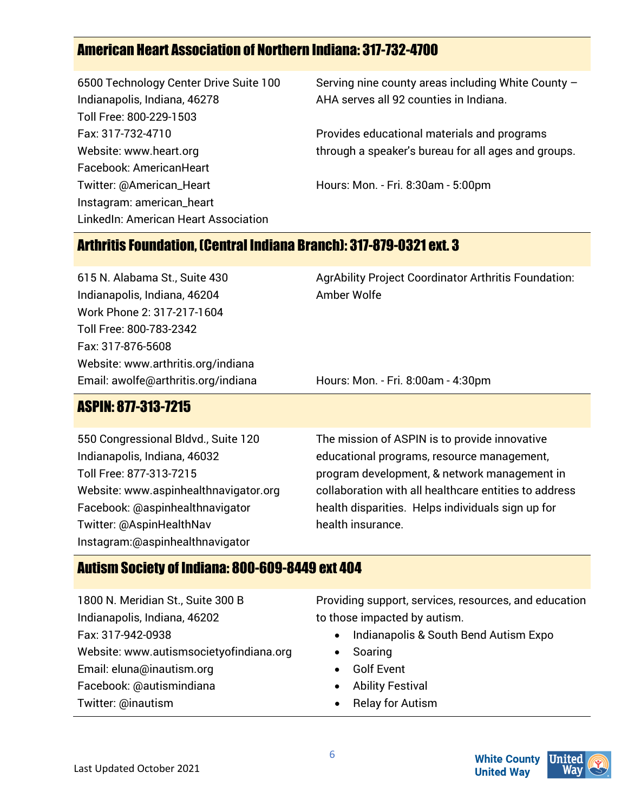# American Heart Association of Northern Indiana: 317-732-4700

6500 Technology Center Drive Suite 100 Indianapolis, Indiana, 46278 Toll Free: 800-229-1503 Fax: 317-732-4710 Website: www.heart.org Facebook: AmericanHeart Twitter: @American\_Heart Instagram: american\_heart LinkedIn: American Heart Association

Serving nine county areas including White County – AHA serves all 92 counties in Indiana.

Provides educational materials and programs through a speaker's bureau for all ages and groups.

Hours: Mon. - Fri. 8:30am - 5:00pm

### Arthritis Foundation, (Central Indiana Branch): 317-879-0321 ext. 3

615 N. Alabama St., Suite 430 Indianapolis, Indiana, 46204 Work Phone 2: 317-217-1604 Toll Free: 800-783-2342 Fax: 317-876-5608 Website: www.arthritis.org/indiana Email: awolfe@arthritis.org/indiana AgrAbility Project Coordinator Arthritis Foundation: Amber Wolfe

Hours: Mon. - Fri. 8:00am - 4:30pm

# ASPIN: 877-313-7215

550 Congressional Bldvd., Suite 120 Indianapolis, Indiana, 46032 Toll Free: 877-313-7215 Website: www.aspinhealthnavigator.org Facebook: @aspinhealthnavigator Twitter: @AspinHealthNav Instagram:@aspinhealthnavigator

The mission of ASPIN is to provide innovative educational programs, resource management, program development, & network management in collaboration with all healthcare entities to address health disparities. Helps individuals sign up for health insurance.

#### Autism Society of Indiana: 800-609-8449 ext 404

1800 N. Meridian St., Suite 300 B Indianapolis, Indiana, 46202 Fax: 317-942-0938 Website: www.autismsocietyofindiana.org Email: eluna@inautism.org Facebook: @autismindiana Twitter: @inautism

Providing support, services, resources, and education to those impacted by autism.

- Indianapolis & South Bend Autism Expo
- **Soaring**
- Golf Event
- Ability Festival
- Relay for Autism



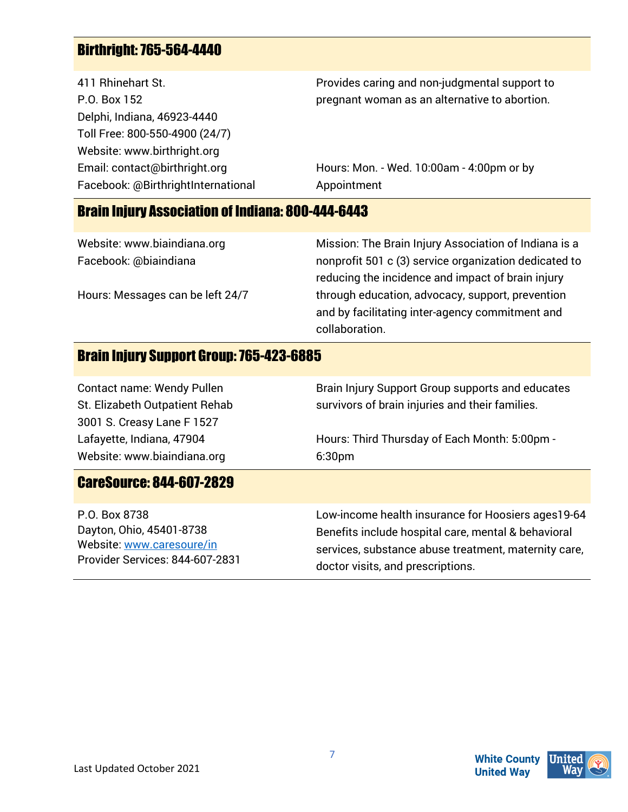# Birthright: 765-564-4440

411 Rhinehart St. P.O. Box 152 Delphi, Indiana, 46923-4440 Toll Free: 800-550-4900 (24/7) Website: www.birthright.org Email: contact@birthright.org Facebook: @BirthrightInternational Provides caring and non-judgmental support to pregnant woman as an alternative to abortion.

Hours: Mon. - Wed. 10:00am - 4:00pm or by Appointment

#### Brain Injury Association of Indiana: 800-444-6443

|                                  | and by facilitating inter-agency commitment and<br>collaboration. |
|----------------------------------|-------------------------------------------------------------------|
| Hours: Messages can be left 24/7 | through education, advocacy, support, prevention                  |
|                                  | reducing the incidence and impact of brain injury                 |
| Facebook: @biaindiana            | nonprofit 501 c (3) service organization dedicated to             |
| Website: www.biaindiana.org      | Mission: The Brain Injury Association of Indiana is a             |
|                                  |                                                                   |

#### Brain Injury Support Group: 765-423-6885

| <b>Contact name: Wendy Pullen</b><br>St. Elizabeth Outpatient Rehab<br>3001 S. Creasy Lane F 1527 | Brain Injury Support Group supports and educates<br>survivors of brain injuries and their families. |
|---------------------------------------------------------------------------------------------------|-----------------------------------------------------------------------------------------------------|
| Lafayette, Indiana, 47904                                                                         | Hours: Third Thursday of Each Month: 5:00pm -                                                       |
| Website: www.biaindiana.org                                                                       | 6:30 <sub>pm</sub>                                                                                  |
| <b>CareSource: 844-607-2829</b>                                                                   |                                                                                                     |
| P.O. Box 8738                                                                                     | Low-income health insurance for Hoosiers ages 19-64                                                 |
| Dayton, Ohio, 45401-8738                                                                          | Benefits include hospital care, mental & behavioral                                                 |
| Website: www.caresoure/in                                                                         | services, substance abuse treatment, maternity care,                                                |
| Provider Services: 844-607-2831                                                                   | doctor visits, and prescriptions.                                                                   |

**White County**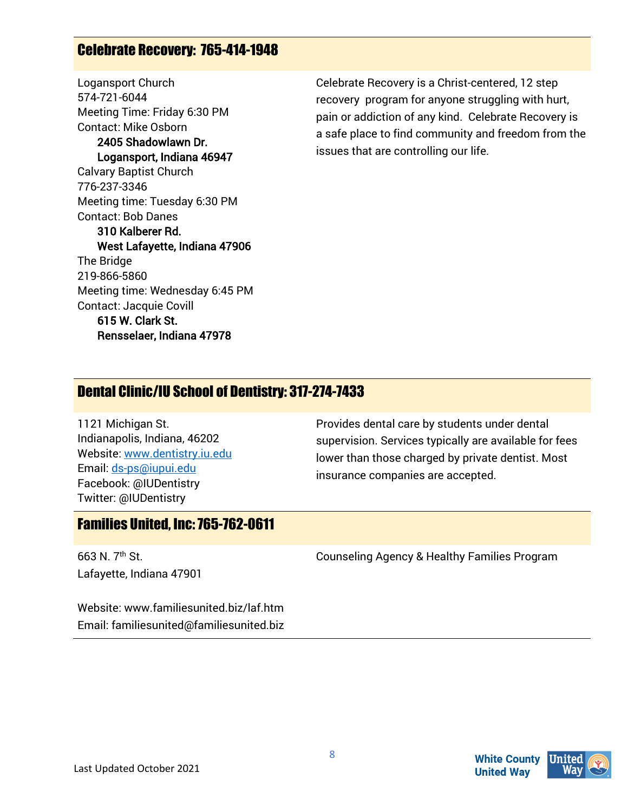#### Celebrate Recovery: 765-414-1948

Logansport Church 574-721-6044 Meeting Time: Friday 6:30 PM Contact: Mike Osborn 2405 Shadowlawn Dr. Logansport, Indiana 46947 Calvary Baptist Church 776-237-3346 Meeting time: Tuesday 6:30 PM Contact: Bob Danes 310 Kalberer Rd. West Lafayette, Indiana 47906 The Bridge 219-866-5860 Meeting time: Wednesday 6:45 PM Contact: Jacquie Covill 615 W. Clark St. Rensselaer, Indiana 47978

Celebrate Recovery is a Christ-centered, 12 step recovery program for anyone struggling with hurt, pain or addiction of any kind. Celebrate Recovery is a safe place to find community and freedom from the issues that are controlling our life.

#### Dental Clinic/IU School of Dentistry: 317-274-7433

1121 Michigan St. Indianapolis, Indiana, 46202 Website: [www.dentistry.iu.edu](http://www.dentistry.iu.edu/)  Email[: ds-ps@iupui.edu](mailto:ds-ps@iupui.edu)  Facebook: @IUDentistry Twitter: @IUDentistry

Provides dental care by students under dental supervision. Services typically are available for fees lower than those charged by private dentist. Most insurance companies are accepted.

#### Families United, Inc: 765-762-0611

663 N. 7th St. Lafayette, Indiana 47901 Counseling Agency & Healthy Families Program

Website: www.familiesunited.biz/laf.htm Email: familiesunited@familiesunited.biz

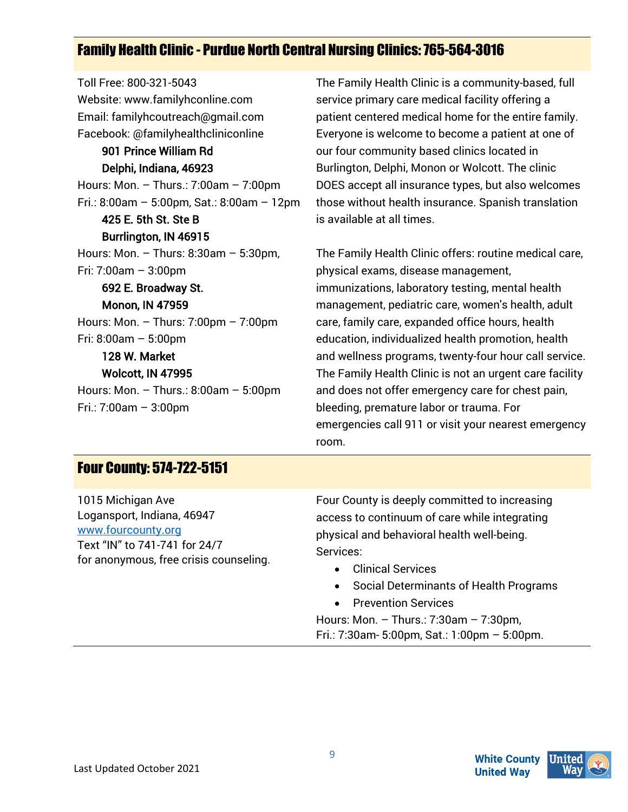# Family Health Clinic - Purdue North Central Nursing Clinics: 765-564-3016

Toll Free: 800-321-5043 Website: www.familyhconline.com Email: familyhcoutreach@gmail.com Facebook: @familyhealthcliniconline 901 Prince William Rd Delphi, Indiana, 46923 Hours: Mon. – Thurs.: 7:00am – 7:00pm Fri.: 8:00am – 5:00pm, Sat.: 8:00am – 12pm 425 E. 5th St. Ste B Burrlington, IN 46915 Hours: Mon. – Thurs: 8:30am – 5:30pm, Fri: 7:00am – 3:00pm 692 E. Broadway St. Monon, IN 47959 Hours: Mon. – Thurs: 7:00pm – 7:00pm Fri: 8:00am – 5:00pm 128 W. Market Wolcott, IN 47995 Hours: Mon. – Thurs.: 8:00am – 5:00pm Fri.: 7:00am – 3:00pm

The Family Health Clinic is a community-based, full service primary care medical facility offering a patient centered medical home for the entire family. Everyone is welcome to become a patient at one of our four community based clinics located in Burlington, Delphi, Monon or Wolcott. The clinic DOES accept all insurance types, but also welcomes those without health insurance. Spanish translation is available at all times.

The Family Health Clinic offers: routine medical care, physical exams, disease management, immunizations, laboratory testing, mental health management, pediatric care, women's health, adult care, family care, expanded office hours, health education, individualized health promotion, health and wellness programs, twenty-four hour call service. The Family Health Clinic is not an urgent care facility and does not offer emergency care for chest pain, bleeding, premature labor or trauma. For emergencies call 911 or visit your nearest emergency room.

#### Four County: 574-722-5151

1015 Michigan Ave Logansport, Indiana, 46947 [www.fourcounty.org](http://www.fourcounty.org/)  Text "IN" to 741-741 for 24/7 for anonymous, free crisis counseling. Four County is deeply committed to increasing access to continuum of care while integrating physical and behavioral health well-being. Services:

- Clinical Services
- Social Determinants of Health Programs
- Prevention Services

Hours: Mon. – Thurs.: 7:30am – 7:30pm, Fri.: 7:30am- 5:00pm, Sat.: 1:00pm – 5:00pm.

**White County** 

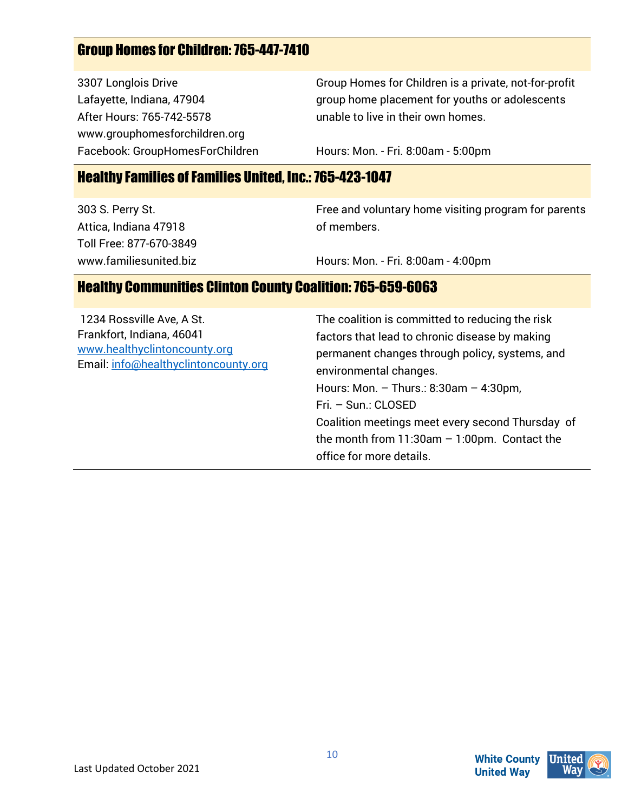# Group Homes for Children: 765-447-7410

3307 Longlois Drive Lafayette, Indiana, 47904 After Hours: 765-742-5578 www.grouphomesforchildren.org Facebook: GroupHomesForChildren Group Homes for Children is a private, not-for-profit group home placement for youths or adolescents unable to live in their own homes.

Hours: Mon. - Fri. 8:00am - 5:00pm

#### Healthy Families of Families United, Inc.: 765-423-1047

303 S. Perry St. Attica, Indiana 47918 Toll Free: 877-670-3849 www.familiesunited.biz Free and voluntary home visiting program for parents of members.

Hours: Mon. - Fri. 8:00am - 4:00pm

#### Healthy Communities Clinton County Coalition: 765-659-6063

| 1234 Rossville Ave, A St.<br>Frankfort, Indiana, 46041<br>www.healthyclintoncounty.org<br>Email: info@healthyclintoncounty.org | The coalition is committed to reducing the risk<br>factors that lead to chronic disease by making<br>permanent changes through policy, systems, and<br>environmental changes.<br>Hours: Mon. $-$ Thurs.: 8:30am $-$ 4:30pm,<br>Fri. - Sun.: CLOSED<br>Coalition meetings meet every second Thursday of<br>the month from $11:30$ am $-1:00$ pm. Contact the<br>office for more details. |
|--------------------------------------------------------------------------------------------------------------------------------|-----------------------------------------------------------------------------------------------------------------------------------------------------------------------------------------------------------------------------------------------------------------------------------------------------------------------------------------------------------------------------------------|
|--------------------------------------------------------------------------------------------------------------------------------|-----------------------------------------------------------------------------------------------------------------------------------------------------------------------------------------------------------------------------------------------------------------------------------------------------------------------------------------------------------------------------------------|

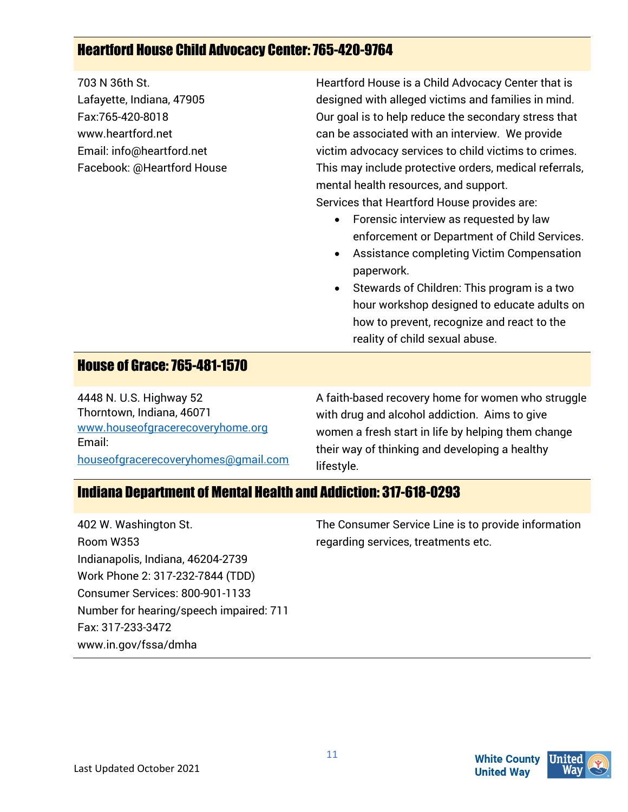### Heartford House Child Advocacy Center: 765-420-9764

703 N 36th St. Lafayette, Indiana, 47905 Fax:765-420-8018 www.heartford.net Email: info@heartford.net Facebook: @Heartford House Heartford House is a Child Advocacy Center that is designed with alleged victims and families in mind. Our goal is to help reduce the secondary stress that can be associated with an interview. We provide victim advocacy services to child victims to crimes. This may include protective orders, medical referrals, mental health resources, and support.

Services that Heartford House provides are:

- Forensic interview as requested by law enforcement or Department of Child Services.
- Assistance completing Victim Compensation paperwork.
- Stewards of Children: This program is a two hour workshop designed to educate adults on how to prevent, recognize and react to the reality of child sexual abuse.

#### House of Grace: 765-481-1570

4448 N. U.S. Highway 52 Thorntown, Indiana, 46071 [www.houseofgracerecoveryhome.org](http://www.houseofgracerecoveryhome.org/)  Email: [houseofgracerecoveryhomes@gmail.com](mailto:houseofgracerecoveryhomes@gmail.com)  A faith-based recovery home for women who struggle with drug and alcohol addiction. Aims to give women a fresh start in life by helping them change their way of thinking and developing a healthy lifestyle.

#### Indiana Department of Mental Health and Addiction: 317-618-0293

| 402 W. Washington St.                   | The Consumer Service Line is to provide information |
|-----------------------------------------|-----------------------------------------------------|
| Room W353                               | regarding services, treatments etc.                 |
| Indianapolis, Indiana, 46204-2739       |                                                     |
| Work Phone 2: 317-232-7844 (TDD)        |                                                     |
| Consumer Services: 800-901-1133         |                                                     |
| Number for hearing/speech impaired: 711 |                                                     |
| Fax: 317-233-3472                       |                                                     |
| www.in.gov/fssa/dmha                    |                                                     |

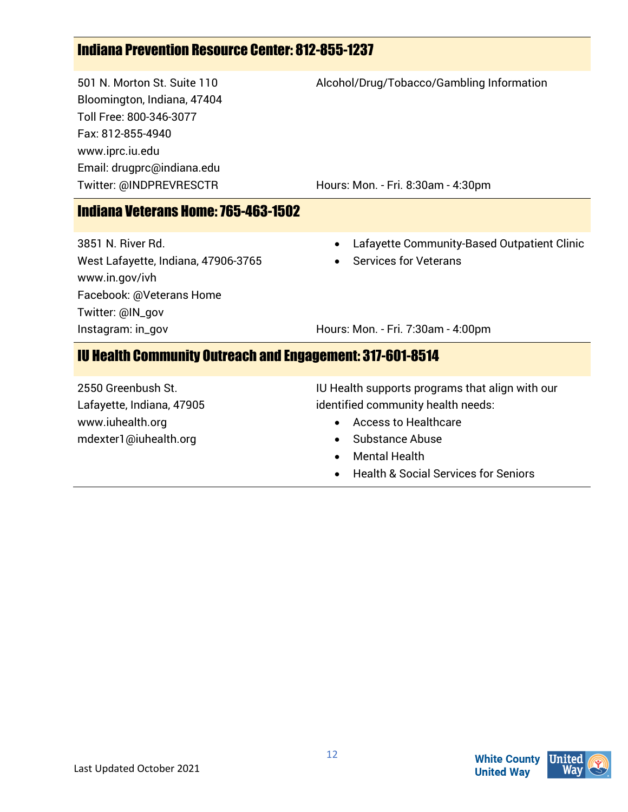# Indiana Prevention Resource Center: 812-855-1237

501 N. Morton St. Suite 110 Bloomington, Indiana, 47404 Toll Free: 800-346-3077 Fax: 812-855-4940 www.iprc.iu.edu Email: drugprc@indiana.edu Twitter: @INDPREVRESCTR

Alcohol/Drug/Tobacco/Gambling Information

Hours: Mon. - Fri. 8:30am - 4:30pm

#### Indiana Veterans Home: 765-463-1502

3851 N. River Rd. West Lafayette, Indiana, 47906-3765 www.in.gov/ivh Facebook: @Veterans Home Twitter: @IN\_gov Instagram: in\_gov

• Lafayette Community-Based Outpatient Clinic

Services for Veterans

Hours: Mon. - Fri. 7:30am - 4:00pm

#### IU Health Community Outreach and Engagement: 317-601-8514

2550 Greenbush St. Lafayette, Indiana, 47905 www.iuhealth.org mdexter1@iuhealth.org

IU Health supports programs that align with our identified community health needs:

- Access to Healthcare
- Substance Abuse
- Mental Health
- Health & Social Services for Seniors



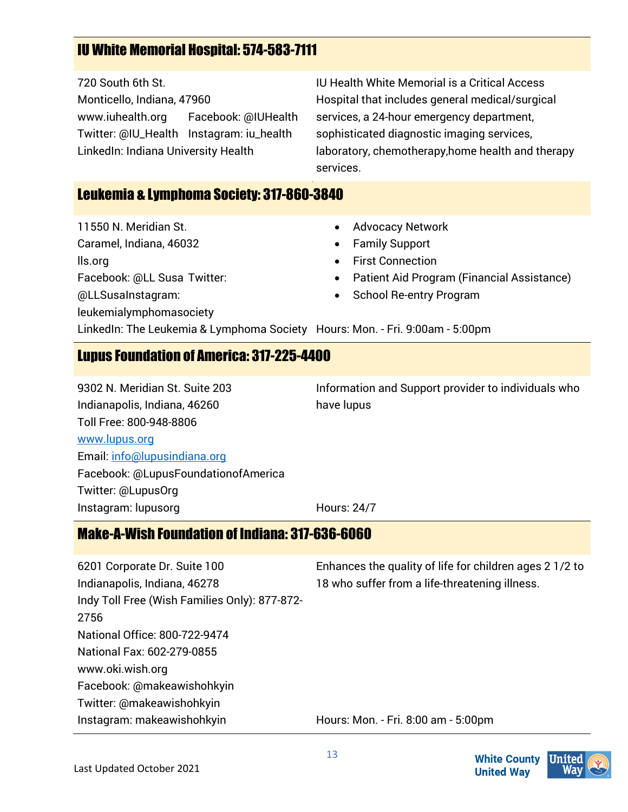# IU White Memorial Hospital: 574-583-7111

720 South 6th St. Monticello, Indiana, 47960 www.iuhealth.org Facebook: @IUHealth Twitter: @IU\_Health Instagram: iu\_health LinkedIn: Indiana University Health

IU Health White Memorial is a Critical Access Hospital that includes general medical/surgical services, a 24-hour emergency department, sophisticated diagnostic imaging services, laboratory, chemotherapy,home health and therapy services.

#### Leukemia & Lymphoma Society: 317-860-3840

11550 N. Meridian St. Caramel, Indiana, 46032 lls.org Facebook: @LL Susa Twitter: @LLSusaInstagram: leukemialymphomasociety

- Advocacy Network
- Family Support
- **First Connection**
- Patient Aid Program (Financial Assistance)
- School Re-entry Program

LinkedIn: The Leukemia & Lymphoma Society Hours: Mon. - Fri. 9:00am - 5:00pm

#### Lupus Foundation of America: 317-225-4400

9302 N. Meridian St. Suite 203 Indianapolis, Indiana, 46260 Toll Free: 800-948-8806 [www.lupus.org](http://www.lupus.org/) Email[: info@lupusindiana.org](mailto:info@lupusindiana.org) Facebook: @LupusFoundationofAmerica Twitter: @LupusOrg Instagram: lupusorg

Information and Support provider to individuals who have lupus

Hours: 24/7

#### Make-A-Wish Foundation of Indiana: 317-636-6060

6201 Corporate Dr. Suite 100 Indianapolis, Indiana, 46278 Indy Toll Free (Wish Families Only): 877-872- 2756 National Office: 800-722-9474 National Fax: 602-279-0855 www.oki.wish.org Facebook: @makeawishohkyin Twitter: @makeawishohkyin Instagram: makeawishohkyin Enhances the quality of life for children ages 2 1/2 to 18 who suffer from a life-threatening illness.

Hours: Mon. - Fri. 8:00 am - 5:00pm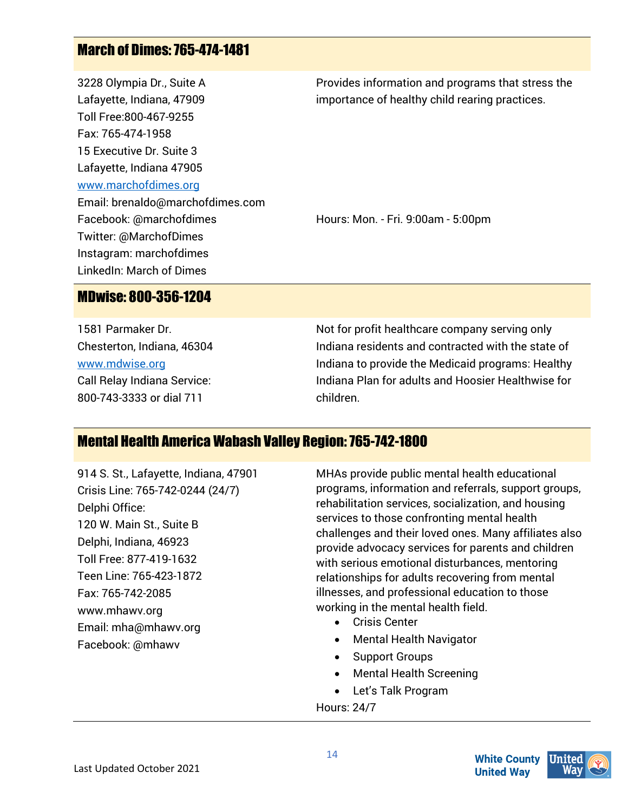# March of Dimes: 765-474-1481

3228 Olympia Dr., Suite A Lafayette, Indiana, 47909 Toll Free:800-467-9255 Fax: 765-474-1958 15 Executive Dr. Suite 3 Lafayette, Indiana 47905 [www.marchofdimes.org](http://www.marchofdimes.org/) Email: brenaldo@marchofdimes.com Facebook: @marchofdimes Twitter: @MarchofDimes Instagram: marchofdimes LinkedIn: March of Dimes

Provides information and programs that stress the importance of healthy child rearing practices.

Hours: Mon. - Fri. 9:00am - 5:00pm

MDwise: 800-356-1204

1581 Parmaker Dr. Chesterton, Indiana, 46304 [www.mdwise.org](http://www.mdwise.org/) Call Relay Indiana Service: 800-743-3333 or dial 711

Not for profit healthcare company serving only Indiana residents and contracted with the state of Indiana to provide the Medicaid programs: Healthy Indiana Plan for adults and Hoosier Healthwise for children.

#### Mental Health America Wabash Valley Region: 765-742-1800

914 S. St., Lafayette, Indiana, 47901 Crisis Line: 765-742-0244 (24/7) Delphi Office: 120 W. Main St., Suite B Delphi, Indiana, 46923 Toll Free: 877-419-1632 Teen Line: 765-423-1872 Fax: 765-742-2085 www.mhawv.org Email: mha@mhawv.org Facebook: @mhawv

MHAs provide public mental health educational programs, information and referrals, support groups, rehabilitation services, socialization, and housing services to those confronting mental health challenges and their loved ones. Many affiliates also provide advocacy services for parents and children with serious emotional disturbances, mentoring relationships for adults recovering from mental illnesses, and professional education to those working in the mental health field.

- Crisis Center
- Mental Health Navigator
- Support Groups
- Mental Health Screening
- Let's Talk Program

Hours: 24/7

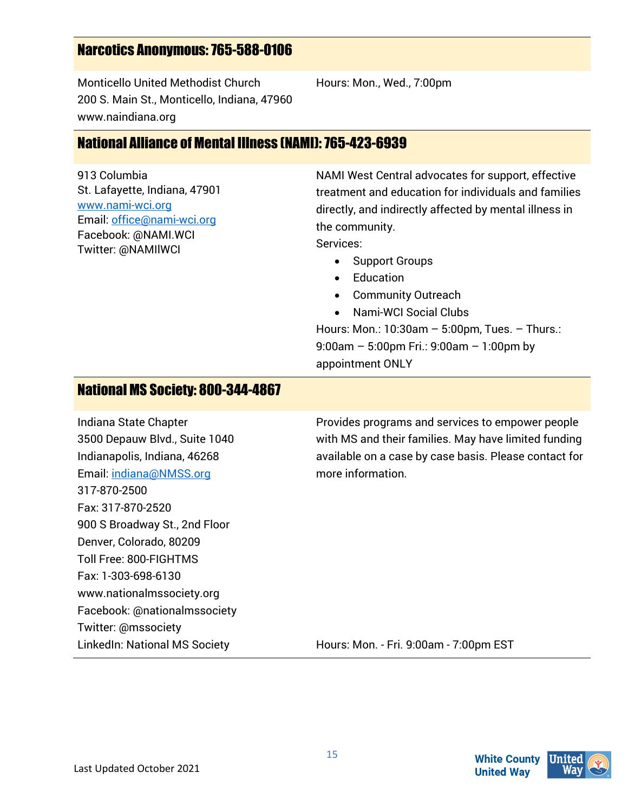### Narcotics Anonymous:765-588-0106

Monticello United Methodist Church 200 S. Main St., Monticello, Indiana, 47960 www.naindiana.org

National Alliance of Mental Illness (NAMI): 765-423-6939

913 Columbia St. Lafayette, Indiana, 47901 [www.nami-wci.org](http://www.nami-wci.org/)  Email[: office@nami-wci.org](mailto:office@nami-wci.org) Facebook: @NAMI.WCI Twitter: @NAMIlWCI

NAMI West Central advocates for support, effective treatment and education for individuals and families directly, and indirectly affected by mental illness in the community.

Services:

• Support Groups

Hours: Mon., Wed., 7:00pm

- Education
- Community Outreach
- Nami-WCI Social Clubs

Hours: Mon.: 10:30am – 5:00pm, Tues. – Thurs.: 9:00am – 5:00pm Fri.: 9:00am – 1:00pm by appointment ONLY

#### National MS Society: 800-344-4867

Indiana State Chapter 3500 Depauw Blvd., Suite 1040 Indianapolis, Indiana, 46268 Email[: indiana@NMSS.org](mailto:indiana@NMSS.org) 317-870-2500 Fax: 317-870-2520 900 S Broadway St., 2nd Floor Denver, Colorado, 80209 Toll Free: 800-FIGHTMS Fax: 1-303-698-6130 www.nationalmssociety.org Facebook: @nationalmssociety Twitter: @mssociety LinkedIn: National MS Society

Provides programs and services to empower people with MS and their families. May have limited funding available on a case by case basis. Please contact for more information.

Hours: Mon. - Fri. 9:00am - 7:00pm EST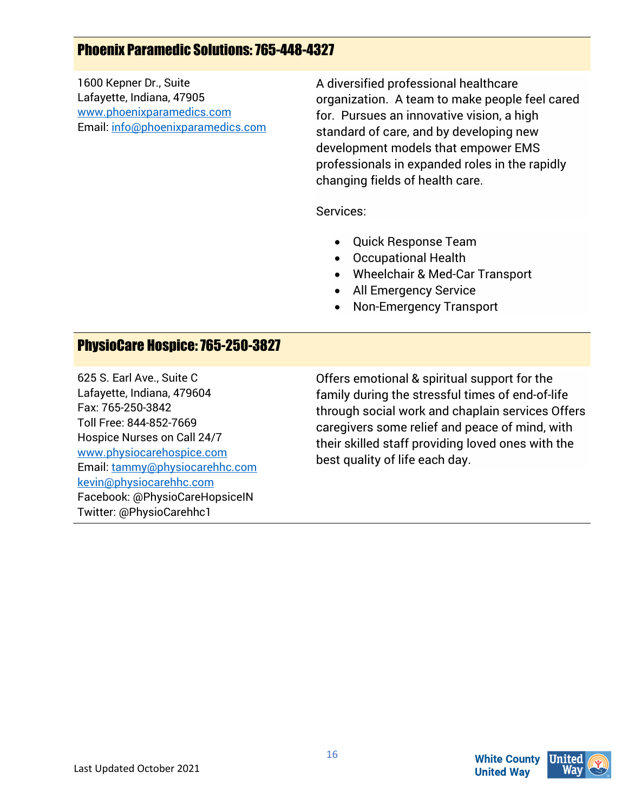# Phoenix Paramedic Solutions: 765-448-4327

1600 Kepner Dr., Suite Lafayette, Indiana, 47905 [www.phoenixparamedics.com](http://www.phoenixparamedics.com/) Email[: info@phoenixparamedics.com](mailto:info@phoenixparamedics.com)  A diversified professional healthcare organization. A team to make people feel cared for. Pursues an innovative vision, a high standard of care, and by developing new development models that empower EMS professionals in expanded roles in the rapidly changing fields of health care.

Services:

- Quick Response Team
- Occupational Health
- Wheelchair & Med-Car Transport
- All Emergency Service
- Non-Emergency Transport

#### PhysioCare Hospice: 765-250-3827

625 S. Earl Ave., Suite C Lafayette, Indiana, 479604 Fax: 765-250-3842 Toll Free: 844-852-7669 Hospice Nurses on Call 24/7 [www.physiocarehospice.com](http://www.physiocarehospice.com/)  Email[: tammy@physiocarehhc.com](mailto:tammy@physiocarehhc.com)  [kevin@physiocarehhc.com](mailto:kevin@physiocarehhc.com) Facebook: @PhysioCareHopsiceIN Twitter: @PhysioCarehhc1

Offers emotional & spiritual support for the family during the stressful times of end-of-life through social work and chaplain services Offers caregivers some relief and peace of mind, with their skilled staff providing loved ones with the best quality of life each day.

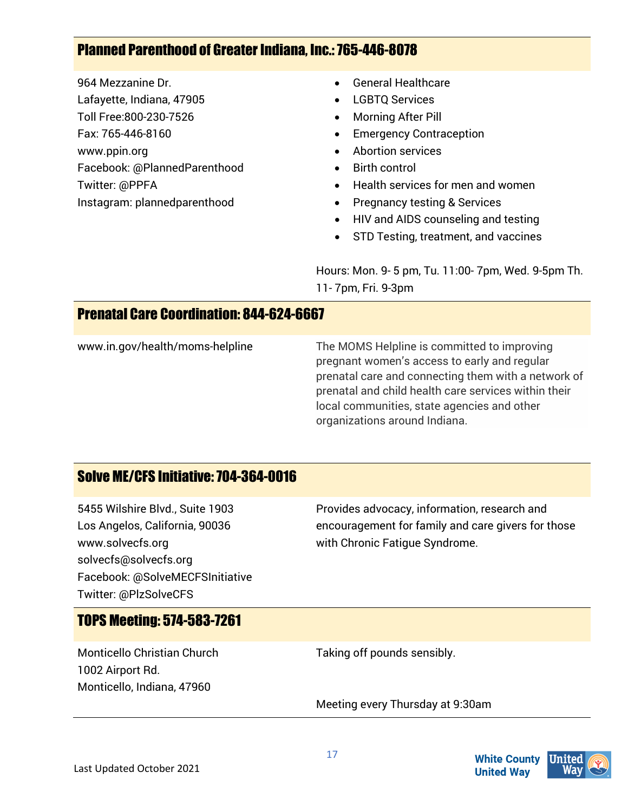# Planned Parenthood of Greater Indiana, Inc.: 765-446-8078

964 Mezzanine Dr. Lafayette, Indiana, 47905 Toll Free:800-230-7526 Fax: 765-446-8160 www.ppin.org Facebook: @PlannedParenthood Twitter: @PPFA Instagram: plannedparenthood

- General Healthcare
- **LGBTO Services**
- Morning After Pill
- **Emergency Contraception**
- Abortion services
- Birth control
- Health services for men and women
- Pregnancy testing & Services
- HIV and AIDS counseling and testing
- STD Testing, treatment, and vaccines

Hours: Mon. 9- 5 pm, Tu. 11:00- 7pm, Wed. 9-5pm Th. 11- 7pm, Fri. 9-3pm

#### Prenatal Care Coordination: 844-624-6667

www.in.gov/health/moms-helpline The MOMS Helpline is committed to improving pregnant women's access to early and regular prenatal care and connecting them with a network of prenatal and child health care services within their local communities, state agencies and other organizations around Indiana.

#### Solve ME/CFS Initiative: 704-364-0016

5455 Wilshire Blvd., Suite 1903 Los Angelos, California, 90036 www.solvecfs.org solvecfs@solvecfs.org Facebook: @SolveMECFSInitiative Twitter: @PlzSolveCFS

Provides advocacy, information, research and encouragement for family and care givers for those with Chronic Fatigue Syndrome.

# TOPS Meeting: 574-583-7261

Monticello Christian Church 1002 Airport Rd. Monticello, Indiana, 47960

Taking off pounds sensibly.

Meeting every Thursday at 9:30am



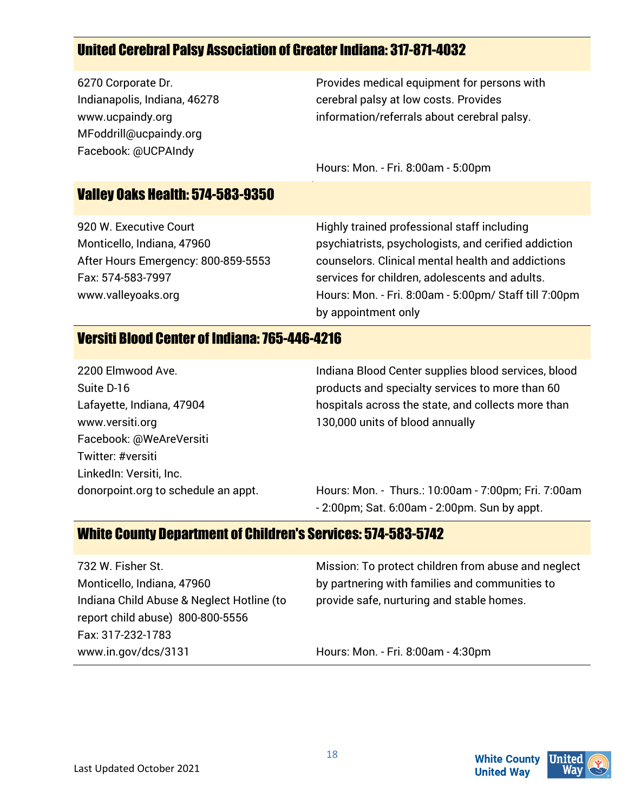# United Cerebral Palsy Association of Greater Indiana: 317-871-4032

6270 Corporate Dr. Indianapolis, Indiana, 46278 www.ucpaindy.org MFoddrill@ucpaindy.org Facebook: @UCPAIndy

Provides medical equipment for persons with cerebral palsy at low costs. Provides information/referrals about cerebral palsy.

Hours: Mon. - Fri. 8:00am - 5:00pm

#### Valley Oaks Health: 574-583-9350

920 W. Executive Court Monticello, Indiana, 47960 After Hours Emergency: 800-859-5553 Fax: 574-583-7997 www.valleyoaks.org

Highly trained professional staff including psychiatrists, psychologists, and cerified addiction counselors. Clinical mental health and addictions services for children, adolescents and adults. Hours: Mon. - Fri. 8:00am - 5:00pm/ Staff till 7:00pm by appointment only

#### Versiti Blood Center of Indiana: 765-446-4216

2200 Elmwood Ave. Suite D-16 Lafayette, Indiana, 47904 www.versiti.org Facebook: @WeAreVersiti Twitter: #versiti LinkedIn: Versiti, Inc. donorpoint.org to schedule an appt. Indiana Blood Center supplies blood services, blood products and specialty services to more than 60 hospitals across the state, and collects more than 130,000 units of blood annually

Hours: Mon. - Thurs.: 10:00am - 7:00pm; Fri. 7:00am - 2:00pm; Sat. 6:00am - 2:00pm. Sun by appt.

#### White County Department of Children's Services: 574-583-5742

732 W. Fisher St. Monticello, Indiana, 47960 Indiana Child Abuse & Neglect Hotline (to report child abuse) 800-800-5556 Fax: 317-232-1783 www.in.gov/dcs/3131

Mission: To protect children from abuse and neglect by partnering with families and communities to provide safe, nurturing and stable homes.

Hours: Mon. - Fri. 8:00am - 4:30pm



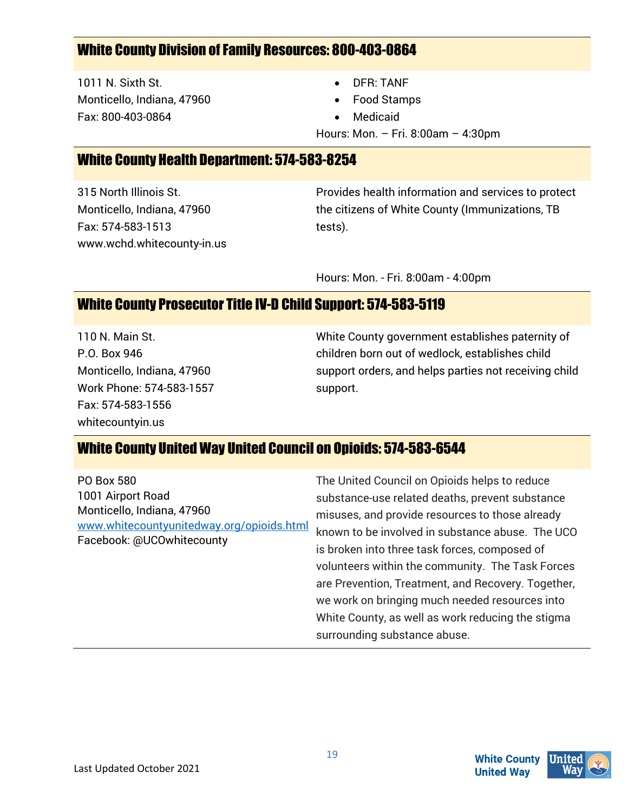#### White County Division of Family Resources: 800-403-0864

1011 N. Sixth St. Monticello, Indiana, 47960 Fax: 800-403-0864

- DFR: TANF
- Food Stamps
- **Medicaid**

Hours: Mon. – Fri. 8:00am – 4:30pm

#### White County Health Department: 574-583-8254

315 North Illinois St. Monticello, Indiana, 47960 Fax: 574-583-1513 www.wchd.whitecounty-in.us Provides health information and services to protect the citizens of White County (Immunizations, TB tests).

Hours: Mon. - Fri. 8:00am - 4:00pm

#### White County Prosecutor Title IV-D Child Support: 574-583-5119

110 N. Main St. P.O. Box 946 Monticello, Indiana, 47960 Work Phone: 574-583-1557 Fax: 574-583-1556 whitecountyin.us

White County government establishes paternity of children born out of wedlock, establishes child support orders, and helps parties not receiving child support.

#### White County United Way United Council on Opioids: 574-583-6544

The United Council on Opioids helps to reduce substance-use related deaths, prevent substance misuses, and provide resources to those already known to be involved in substance abuse. The UCO is broken into three task forces, composed of volunteers within the community. The Task Forces are Prevention, Treatment, and Recovery. Together, we work on bringing much needed resources into White County, as well as work reducing the stigma surrounding substance abuse.

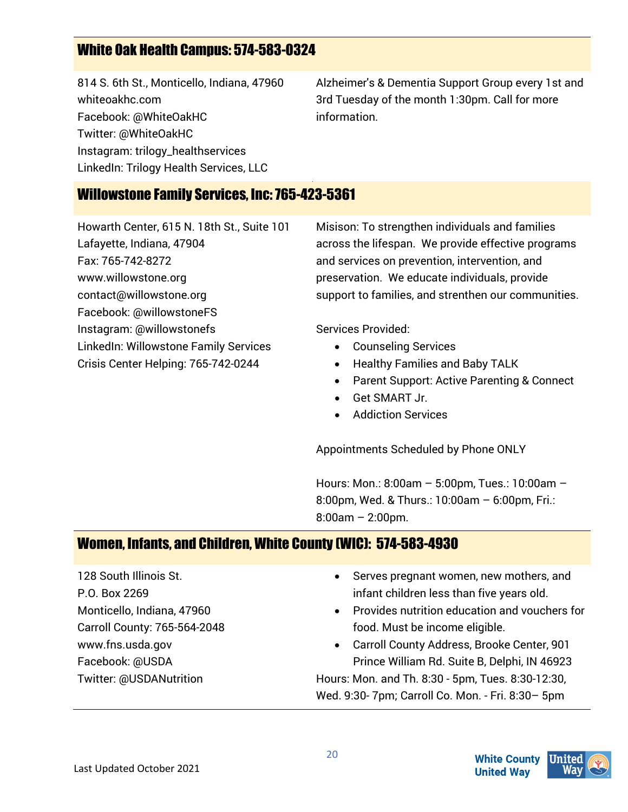# White Oak Health Campus: 574-583-0324

814 S. 6th St., Monticello, Indiana, 47960 whiteoakhc.com Facebook: @WhiteOakHC Twitter: @WhiteOakHC Instagram: trilogy\_healthservices LinkedIn: Trilogy Health Services, LLC

Alzheimer's & Dementia Support Group every 1st and 3rd Tuesday of the month 1:30pm. Call for more information.

#### Willowstone Family Services, Inc: 765-423-5361

Howarth Center, 615 N. 18th St., Suite 101 Lafayette, Indiana, 47904 Fax: 765-742-8272 www.willowstone.org contact@willowstone.org Facebook: @willowstoneFS Instagram: @willowstonefs LinkedIn: Willowstone Family Services Crisis Center Helping: 765-742-0244

Misison: To strengthen individuals and families across the lifespan. We provide effective programs and services on prevention, intervention, and preservation. We educate individuals, provide support to families, and strenthen our communities.

Services Provided:

- Counseling Services
- Healthy Families and Baby TALK
- Parent Support: Active Parenting & Connect
- Get SMART Jr.
- Addiction Services

Appointments Scheduled by Phone ONLY

Hours: Mon.: 8:00am – 5:00pm, Tues.: 10:00am – 8:00pm, Wed. & Thurs.: 10:00am – 6:00pm, Fri.: 8:00am – 2:00pm.

# Women, Infants, and Children, White County (WIC): 574-583-4930

128 South Illinois St. P.O. Box 2269 Monticello, Indiana, 47960 Carroll County: 765-564-2048 www.fns.usda.gov Facebook: @USDA Twitter: @USDANutrition

- Serves pregnant women, new mothers, and infant children less than five years old.
- Provides nutrition education and vouchers for food. Must be income eligible.

• Carroll County Address, Brooke Center, 901 Prince William Rd. Suite B, Delphi, IN 46923 Hours: Mon. and Th. 8:30 - 5pm, Tues. 8:30-12:30, Wed. 9:30- 7pm; Carroll Co. Mon. - Fri. 8:30– 5pm

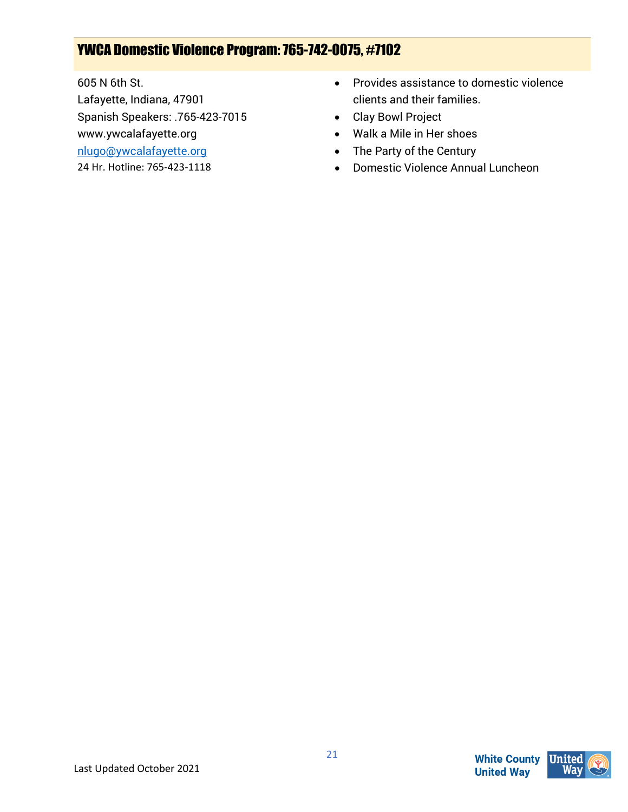# YWCA Domestic Violence Program: 765-742-0075, #7102

605 N 6th St.

Lafayette, Indiana, 47901

Spanish Speakers: .765-423-7015

www.ywcalafayette.org

[nlugo@ywcalafayette.org](mailto:nlugo@ywcalafayette.org)

24 Hr. Hotline: 765-423-1118

- Provides assistance to domestic violence clients and their families.
- Clay Bowl Project
- Walk a Mile in Her shoes
- The Party of the Century
- Domestic Violence Annual Luncheon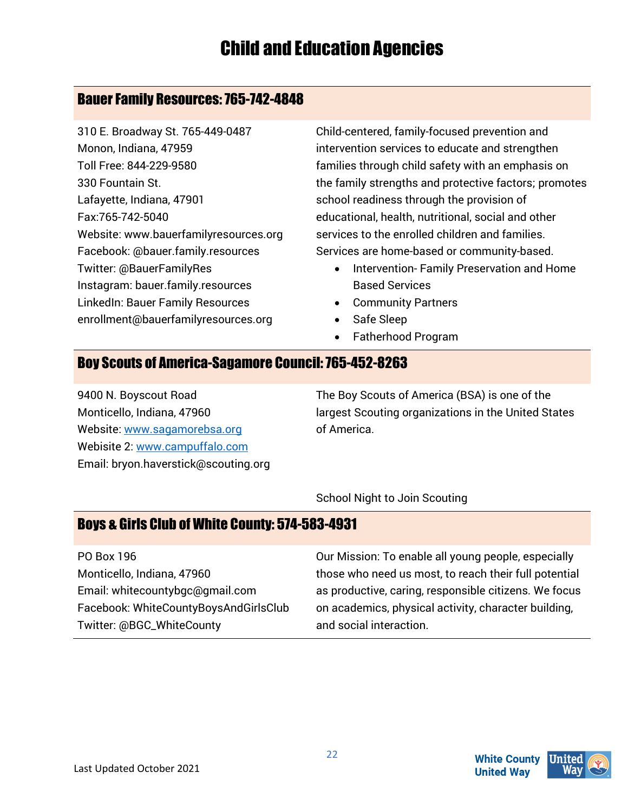#### Bauer Family Resources: 765-742-4848

310 E. Broadway St. 765-449-0487 Monon, Indiana, 47959 Toll Free: 844-229-9580 330 Fountain St. Lafayette, Indiana, 47901 Fax:765-742-5040 Website: www.bauerfamilyresources.org Facebook: @bauer.family.resources Twitter: @BauerFamilyRes Instagram: bauer.family.resources LinkedIn: Bauer Family Resources enrollment@bauerfamilyresources.org

Child-centered, family-focused prevention and intervention services to educate and strengthen families through child safety with an emphasis on the family strengths and protective factors; promotes school readiness through the provision of educational, health, nutritional, social and other services to the enrolled children and families. Services are home-based or community-based.

- Intervention- Family Preservation and Home Based Services
- Community Partners
- Safe Sleep
- Fatherhood Program

### Boy Scouts of America-Sagamore Council: 765-452-8263

9400 N. Boyscout Road Monticello, Indiana, 47960 Website: [www.sagamorebsa.org](http://www.sagamorebsa.org/) Webisite 2[: www.campuffalo.com](http://www.campuffalo.com/) Email: bryon.haverstick@scouting.org The Boy Scouts of America (BSA) is one of the largest Scouting organizations in the United States of America.

School Night to Join Scouting

# Boys & Girls Club of White County: 574-583-4931

PO Box 196 Monticello, Indiana, 47960 Email: whitecountybgc@gmail.com Facebook: WhiteCountyBoysAndGirlsClub Twitter: @BGC\_WhiteCounty

Our Mission: To enable all young people, especially those who need us most, to reach their full potential as productive, caring, responsible citizens. We focus on academics, physical activity, character building, and social interaction.

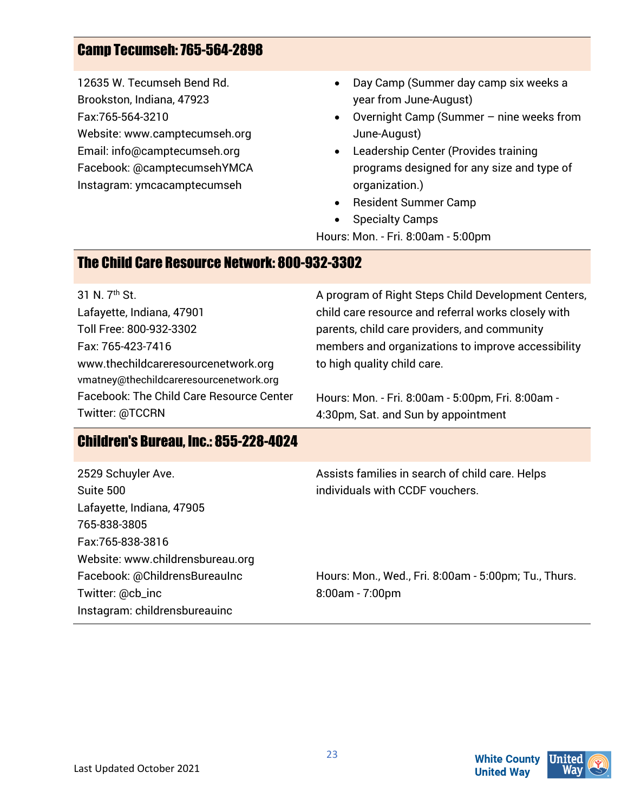# Camp Tecumseh: 765-564-2898

12635 W. Tecumseh Bend Rd. Brookston, Indiana, 47923 Fax:765-564-3210 Website: www.camptecumseh.org Email: info@camptecumseh.org Facebook: @camptecumsehYMCA Instagram: ymcacamptecumseh

- Day Camp (Summer day camp six weeks a year from June-August)
- Overnight Camp (Summer nine weeks from June-August)
- Leadership Center (Provides training programs designed for any size and type of organization.)
- Resident Summer Camp
- Specialty Camps
- Hours: Mon. Fri. 8:00am 5:00pm

#### The Child Care Resource Network: 800-932-3302

31 N. 7th St. Lafayette, Indiana, 47901 Toll Free: 800-932-3302 Fax: 765-423-7416 www.thechildcareresourcenetwork.org vmatney@thechildcareresourcenetwork.org Facebook: The Child Care Resource Center Twitter: @TCCRN

A program of Right Steps Child Development Centers, child care resource and referral works closely with parents, child care providers, and community members and organizations to improve accessibility to high quality child care.

Hours: Mon. - Fri. 8:00am - 5:00pm, Fri. 8:00am - 4:30pm, Sat. and Sun by appointment

#### Children's Bureau, Inc.: 855-228-4024

| 2529 Schuyler Ave.               | Assists families in search of child care. Helps      |
|----------------------------------|------------------------------------------------------|
| Suite 500                        | individuals with CCDF vouchers.                      |
| Lafayette, Indiana, 47905        |                                                      |
| 765-838-3805                     |                                                      |
| Fax:765-838-3816                 |                                                      |
| Website: www.childrensbureau.org |                                                      |
| Facebook: @ChildrensBureauInc    | Hours: Mon., Wed., Fri. 8:00am - 5:00pm; Tu., Thurs. |
| Twitter: @cb_inc                 | $8:00am - 7:00pm$                                    |
| Instagram: childrensbureauinc    |                                                      |

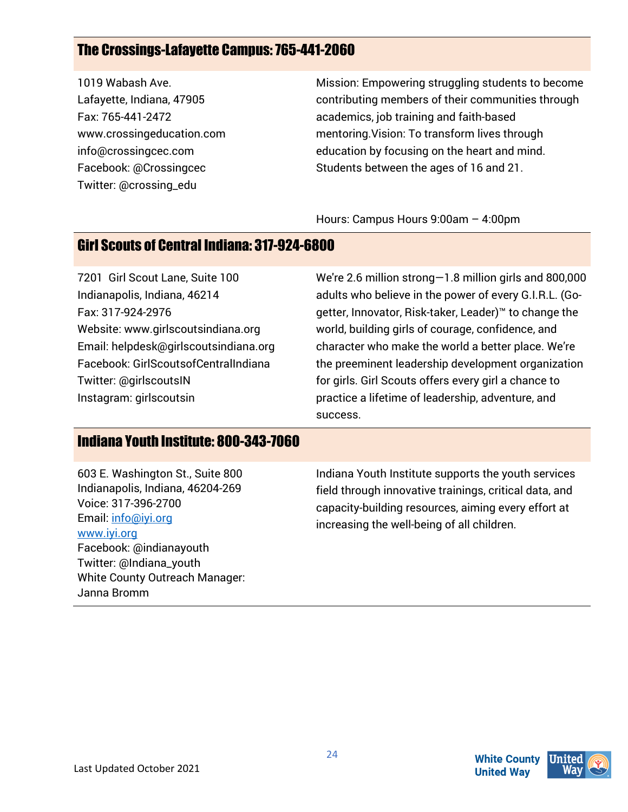# The Crossings-Lafayette Campus: 765-441-2060

1019 Wabash Ave. Lafayette, Indiana, 47905 Fax: 765-441-2472 www.crossingeducation.com info@crossingcec.com Facebook: @Crossingcec Twitter: @crossing\_edu

Mission: Empowering struggling students to become contributing members of their communities through academics, job training and faith-based mentoring.Vision: To transform lives through education by focusing on the heart and mind. Students between the ages of 16 and 21.

Hours: Campus Hours 9:00am – 4:00pm

#### Girl Scouts of Central Indiana: 317-924-6800

7201 Girl Scout Lane, Suite 100 Indianapolis, Indiana, 46214 Fax: 317-924-2976 Website: www.girlscoutsindiana.org Email: helpdesk@girlscoutsindiana.org Facebook: GirlScoutsofCentralIndiana Twitter: @girlscoutsIN Instagram: girlscoutsin

We're 2.6 million strong—1.8 million girls and 800,000 adults who believe in the power of every G.I.R.L. (Gogetter, Innovator, Risk-taker, Leader)™ to change the world, building girls of courage, confidence, and character who make the world a better place. We're the preeminent leadership development organization for girls. Girl Scouts offers every girl a chance to practice a lifetime of leadership, adventure, and success.

#### Indiana Youth Institute: 800-343-7060

603 E. Washington St., Suite 800 Indianapolis, Indiana, 46204-269 Voice: 317-396-2700 Email: info@iyi.org [www.iyi.org](http://www.iyi.org/) Facebook: @indianayouth Twitter: @Indiana\_youth White County Outreach Manager: Janna Bromm

Indiana Youth Institute supports the youth services field through innovative trainings, critical data, and capacity-building resources, aiming every effort at increasing the well-being of all children.

24

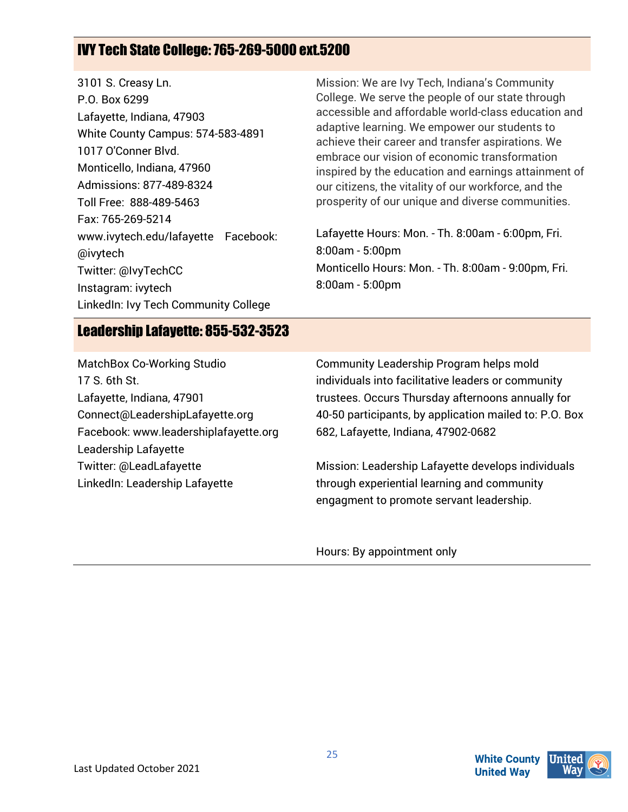# IVY Tech State College: 765-269-5000 ext.5200

| 3101 S. Creasy Ln.                   | Mission: We are Ivy                          |
|--------------------------------------|----------------------------------------------|
| P.O. Box 6299                        | College. We serve th                         |
| Lafayette, Indiana, 47903            | accessible and affor                         |
| White County Campus: 574-583-4891    | adaptive learning. W<br>achieve their career |
| 1017 O'Conner Blvd.                  | embrace our vision o                         |
| Monticello, Indiana, 47960           | inspired by the educ                         |
| Admissions: 877-489-8324             | our citizens, the vita                       |
| Toll Free: 888-489-5463              | prosperity of our uni                        |
| Fax: 765-269-5214                    |                                              |
| www.ivytech.edu/lafayette Facebook:  | Lafayette Hours: Mo                          |
| @ivytech                             | 8:00am - 5:00pm                              |
| Twitter: @IvyTechCC                  | <b>Monticello Hours: M</b>                   |
| Instagram: ivytech                   | $8:00am - 5:00pm$                            |
| LinkedIn: Ivy Tech Community College |                                              |

Tech, Indiana's Community e people of our state through dable world-class education and e empower our students to and transfer aspirations. We of economic transformation ation and earnings attainment of lity of our workforce, and the que and diverse communities.

Lafayette Hours: Mon. - Th. 8:00am - 6:00pm, Fri. on. - Th. 8:00am - 9:00pm, Fri.

#### Leadership Lafayette: 855-532-3523

MatchBox Co-Working Studio 17 S. 6th St. Lafayette, Indiana, 47901 Connect@LeadershipLafayette.org Facebook: www.leadershiplafayette.org Leadership Lafayette Twitter: @LeadLafayette LinkedIn: Leadership Lafayette

Community Leadership Program helps mold individuals into facilitative leaders or community trustees. Occurs Thursday afternoons annually for 40-50 participants, by application mailed to: P.O. Box 682, Lafayette, Indiana, 47902-0682

Mission: Leadership Lafayette develops individuals through experiential learning and community engagment to promote servant leadership.

Hours: By appointment only

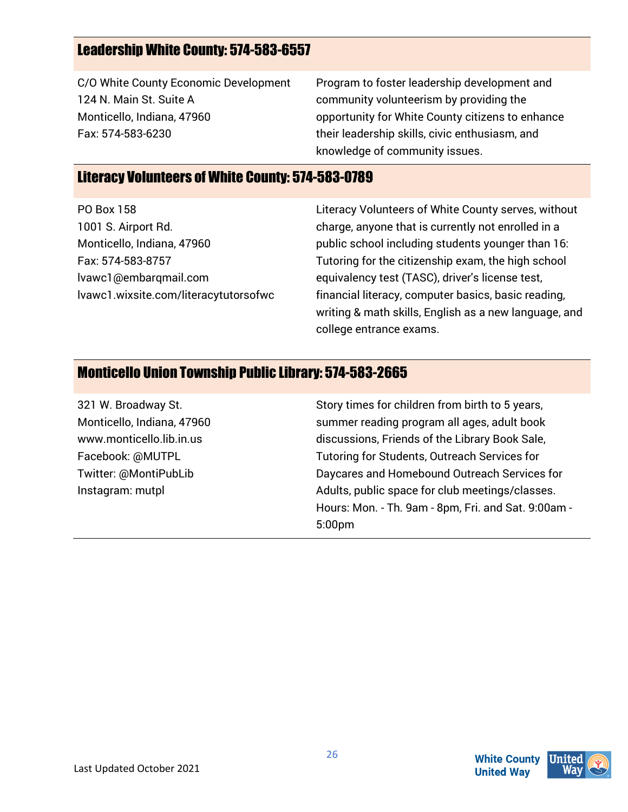### Leadership White County: 574-583-6557

C/O White County Economic Development 124 N. Main St. Suite A Monticello, Indiana, 47960 Fax: 574-583-6230

Program to foster leadership development and community volunteerism by providing the opportunity for White County citizens to enhance their leadership skills, civic enthusiasm, and knowledge of community issues.

#### Literacy Volunteers of White County: 574-583-0789

PO Box 158 1001 S. Airport Rd. Monticello, Indiana, 47960 Fax: 574-583-8757 lvawc1@embarqmail.com lvawc1.wixsite.com/literacytutorsofwc Literacy Volunteers of White County serves, without charge, anyone that is currently not enrolled in a public school including students younger than 16: Tutoring for the citizenship exam, the high school equivalency test (TASC), driver's license test, financial literacy, computer basics, basic reading, writing & math skills, English as a new language, and college entrance exams.

#### Monticello Union Township Public Library: 574-583-2665

321 W. Broadway St. Monticello, Indiana, 47960 www.monticello.lib.in.us Facebook: @MUTPL Twitter: @MontiPubLib Instagram: mutpl Story times for children from birth to 5 years, summer reading program all ages, adult book discussions, Friends of the Library Book Sale, Tutoring for Students, Outreach Services for Daycares and Homebound Outreach Services for Adults, public space for club meetings/classes. Hours: Mon. - Th. 9am - 8pm, Fri. and Sat. 9:00am - 5:00pm

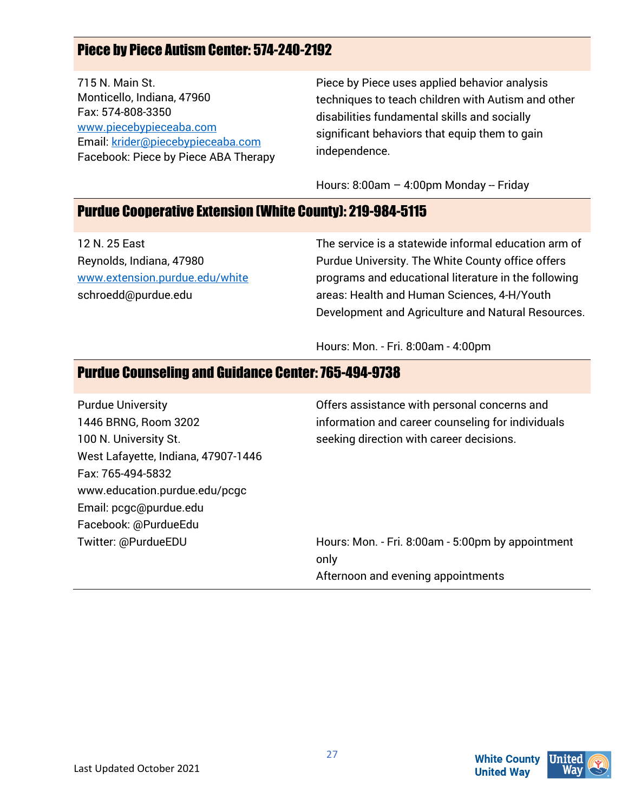# Piece by Piece Autism Center: 574-240-2192

715 N. Main St. Monticello, Indiana, 47960 Fax: 574-808-3350 [www.piecebypieceaba.com](http://www.piecebypieceaba.com/)  Email[: krider@piecebypieceaba.com](mailto:krider@piecebypieceaba.com) Facebook: Piece by Piece ABA Therapy Piece by Piece uses applied behavior analysis techniques to teach children with Autism and other disabilities fundamental skills and socially significant behaviors that equip them to gain independence.

Hours: 8:00am - 4:00pm Monday -- Friday

#### Purdue Cooperative Extension (White County): 219-984-5115

12 N. 25 East Reynolds, Indiana, 47980 [www.extension.purdue.edu/white](http://www.extension.purdue.edu/white) schroedd@purdue.edu

The service is a statewide informal education arm of Purdue University. The White County office offers programs and educational literature in the following areas: Health and Human Sciences, 4-H/Youth Development and Agriculture and Natural Resources.

Hours: Mon. - Fri. 8:00am - 4:00pm

#### Purdue Counseling and Guidance Center: 765-494-9738

Purdue University 1446 BRNG, Room 3202 100 N. University St. West Lafayette, Indiana, 47907-1446 Fax: 765-494-5832 www.education.purdue.edu/pcgc Email: pcgc@purdue.edu Facebook: @PurdueEdu Twitter: @PurdueEDU

Offers assistance with personal concerns and information and career counseling for individuals seeking direction with career decisions.

Hours: Mon. - Fri. 8:00am - 5:00pm by appointment only Afternoon and evening appointments

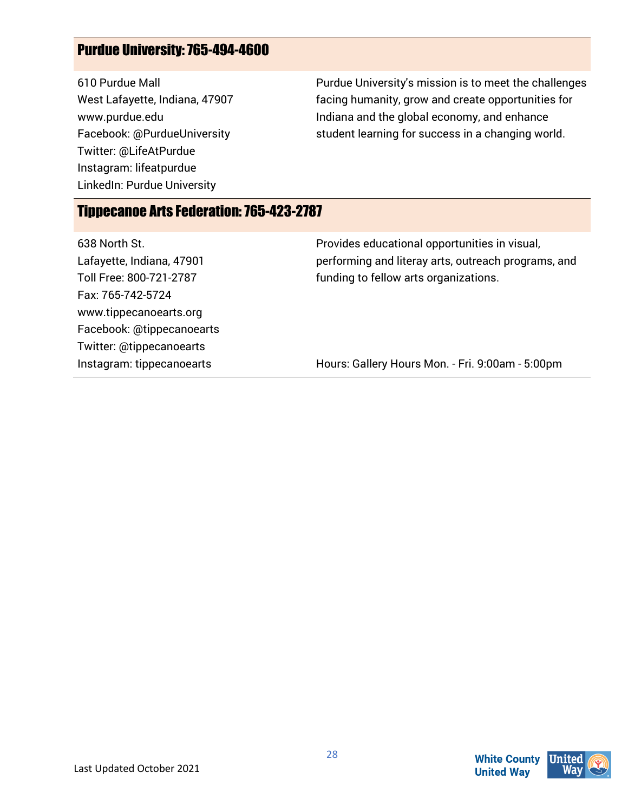# Purdue University: 765-494-4600

610 Purdue Mall West Lafayette, Indiana, 47907 www.purdue.edu Facebook: @PurdueUniversity Twitter: @LifeAtPurdue Instagram: lifeatpurdue LinkedIn: Purdue University

Purdue University's mission is to meet the challenges facing humanity, grow and create opportunities for Indiana and the global economy, and enhance student learning for success in a changing world.

### Tippecanoe Arts Federation: 765-423-2787

| 638 North St.             | Provides educational opportunities in visual,       |
|---------------------------|-----------------------------------------------------|
| Lafayette, Indiana, 47901 | performing and literay arts, outreach programs, and |
| Toll Free: 800-721-2787   | funding to fellow arts organizations.               |
| Fax: 765-742-5724         |                                                     |
| www.tippecanoearts.org    |                                                     |
| Facebook: @tippecanoearts |                                                     |
| Twitter: @tippecanoearts  |                                                     |
| Instagram: tippecanoearts | Hours: Gallery Hours Mon. - Fri. 9:00am - 5:00pm    |

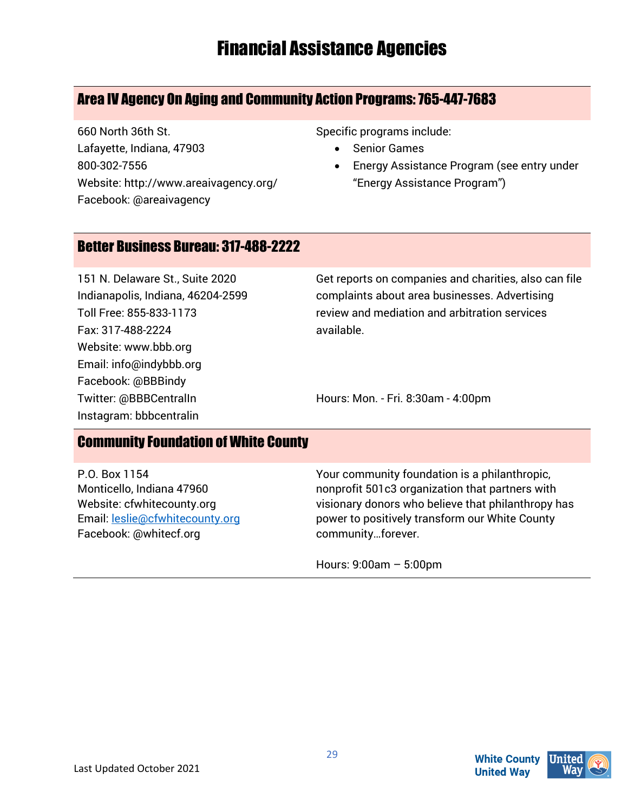# Financial Assistance Agencies

### Area IV Agency On Aging and Community Action Programs:765-447-7683

660 North 36th St. Lafayette, Indiana, 47903 800-302-7556 Website: http://www.areaivagency.org/ Facebook: @areaivagency

Specific programs include:

- **Senior Games**
- Energy Assistance Program (see entry under "Energy Assistance Program")

#### Better Business Bureau: 317-488-2222

151 N. Delaware St., Suite 2020 Indianapolis, Indiana, 46204-2599 Toll Free: 855-833-1173 Fax: 317-488-2224 Website: www.bbb.org Email: info@indybbb.org Facebook: @BBBindy Twitter: @BBBCentralIn Instagram: bbbcentralin

Get reports on companies and charities, also can file complaints about area businesses. Advertising review and mediation and arbitration services available.

Hours: Mon. - Fri. 8:30am - 4:00pm

#### Community Foundation of White County

P.O. Box 1154 Monticello, Indiana 47960 Website: cfwhitecounty.org Email[: leslie@cfwhitecounty.org](mailto:leslie@cfwhitecounty.org)  Facebook: @whitecf.org

Your community foundation is a philanthropic, nonprofit 501c3 organization that partners with visionary donors who believe that philanthropy has power to positively transform our White County community…forever.

Hours: 9:00am – 5:00pm

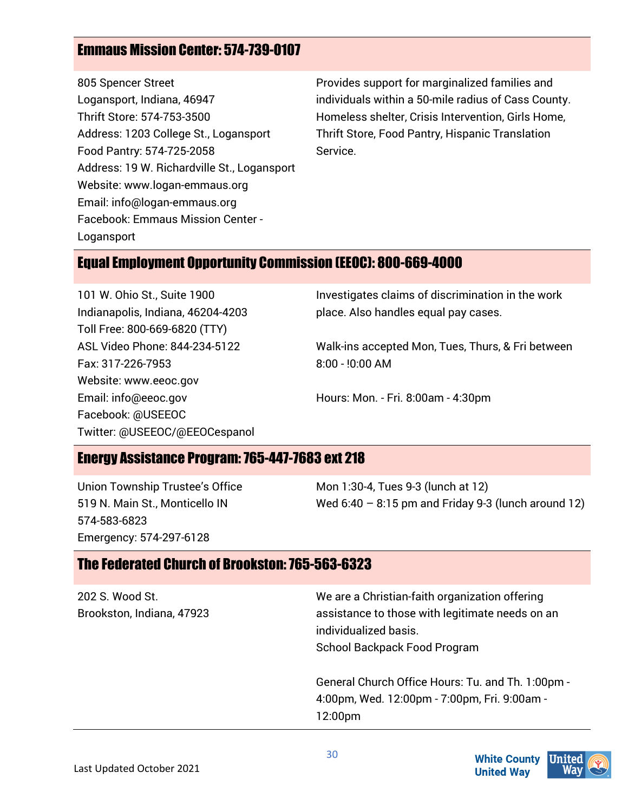# Emmaus Mission Center: 574-739-0107

805 Spencer Street Logansport, Indiana, 46947 Thrift Store: 574-753-3500 Address: 1203 College St., Logansport Food Pantry: 574-725-2058 Address: 19 W. Richardville St., Logansport Website: www.logan-emmaus.org Email: info@logan-emmaus.org Facebook: Emmaus Mission Center - Logansport

Provides support for marginalized families and individuals within a 50-mile radius of Cass County. Homeless shelter, Crisis Intervention, Girls Home, Thrift Store, Food Pantry, Hispanic Translation Service.

#### Equal Employment Opportunity Commission (EEOC): 800-669-4000

101 W. Ohio St., Suite 1900 Indianapolis, Indiana, 46204-4203 Toll Free: 800-669-6820 (TTY) ASL Video Phone: 844-234-5122 Fax: 317-226-7953 Website: www.eeoc.gov Email: info@eeoc.gov Facebook: @USEEOC Twitter: @USEEOC/@EEOCespanol Investigates claims of discrimination in the work place. Also handles equal pay cases.

Walk-ins accepted Mon, Tues, Thurs, & Fri between 8:00 - !0:00 AM

Hours: Mon. - Fri. 8:00am - 4:30pm

### Energy Assistance Program: 765-447-7683 ext 218

Union Township Trustee's Office 519 N. Main St., Monticello IN 574-583-6823 Emergency: 574-297-6128

Mon 1:30-4, Tues 9-3 (lunch at 12) Wed  $6:40 - 8:15$  pm and Friday 9-3 (lunch around 12)

#### The Federated Church of Brookston: 765-563-6323

| 202 S. Wood St.<br>Brookston, Indiana, 47923 | We are a Christian-faith organization offering<br>assistance to those with legitimate needs on an<br>individualized basis.<br>School Backpack Food Program |
|----------------------------------------------|------------------------------------------------------------------------------------------------------------------------------------------------------------|
|                                              | General Church Office Hours: Tu. and Th. 1:00pm -<br>4:00pm, Wed. 12:00pm - 7:00pm, Fri. 9:00am -<br>12:00 <sub>pm</sub>                                   |

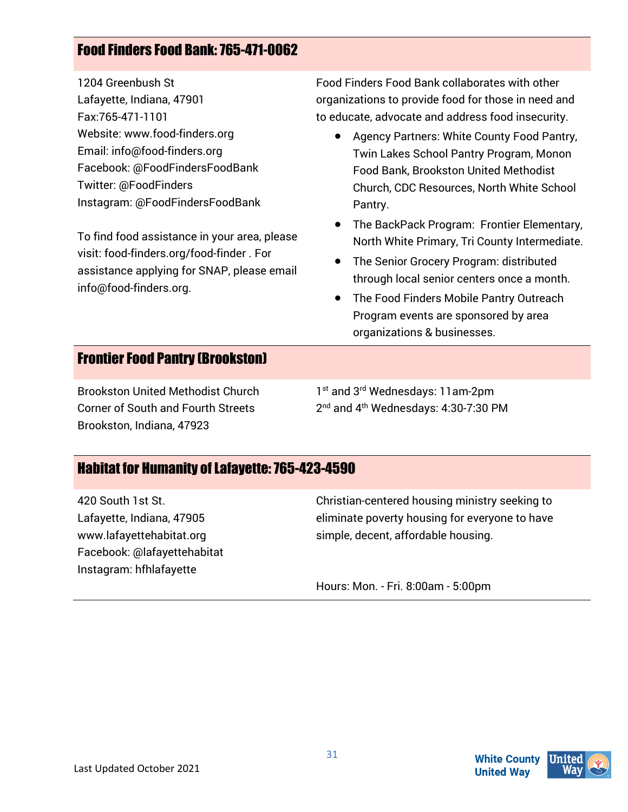# Food Finders Food Bank: 765-471-0062

1204 Greenbush St Lafayette, Indiana, 47901 Fax:765-471-1101 Website: www.food-finders.org Email: info@food-finders.org Facebook: @FoodFindersFoodBank Twitter: @FoodFinders Instagram: @FoodFindersFoodBank

To find food assistance in your area, please visit: food-finders.org/food-finder . For assistance applying for SNAP, please email info@food-finders.org.

Food Finders Food Bank collaborates with other organizations to provide food for those in need and to educate, advocate and address food insecurity.

- Agency Partners: White County Food Pantry, Twin Lakes School Pantry Program, Monon Food Bank, Brookston United Methodist Church, CDC Resources, North White School Pantry.
- The BackPack Program: Frontier Elementary, North White Primary, Tri County Intermediate.
- The Senior Grocery Program: distributed through local senior centers once a month.
- The Food Finders Mobile Pantry Outreach Program events are sponsored by area organizations & businesses.

#### Frontier Food Pantry (Brookston)

Brookston United Methodist Church Corner of South and Fourth Streets Brookston, Indiana, 47923

1<sup>st</sup> and 3<sup>rd</sup> Wednesdays: 11am-2pm 2<sup>nd</sup> and 4<sup>th</sup> Wednesdays: 4:30-7:30 PM

# Habitat for Humanity of Lafayette: 765-423-4590

420 South 1st St. Lafayette, Indiana, 47905 www.lafayettehabitat.org Facebook: @lafayettehabitat Instagram: hfhlafayette

Christian-centered housing ministry seeking to eliminate poverty housing for everyone to have simple, decent, affordable housing.

Hours: Mon. - Fri. 8:00am - 5:00pm

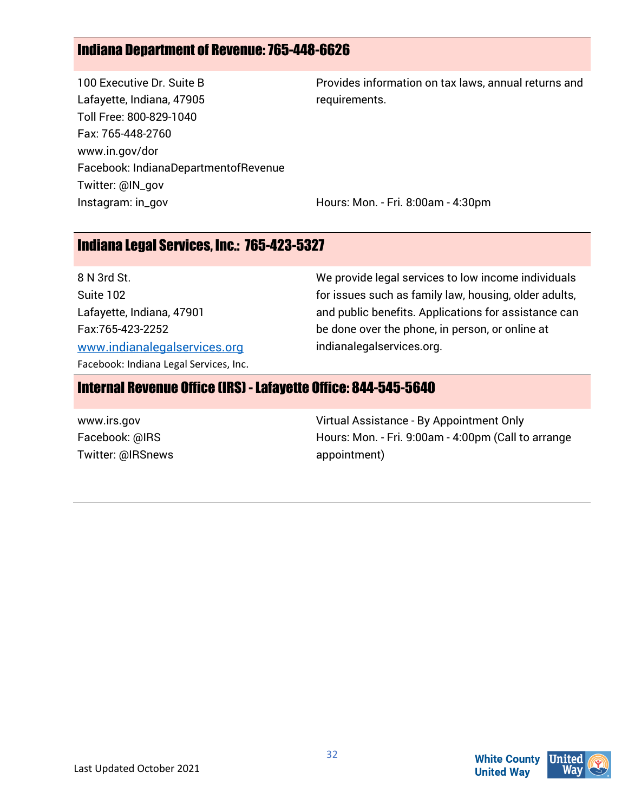# Indiana Department of Revenue: 765-448-6626

100 Executive Dr. Suite B Lafayette, Indiana, 47905 Toll Free: 800-829-1040 Fax: 765-448-2760 www.in.gov/dor Facebook: IndianaDepartmentofRevenue Twitter: @IN\_gov Instagram: in\_gov

Provides information on tax laws, annual returns and requirements.

Hours: Mon. - Fri. 8:00am - 4:30pm

#### Indiana Legal Services, Inc.: 765-423-5327

8 N 3rd St. Suite 102 Lafayette, Indiana, 47901 Fax:765-423-2252 [www.indianalegalservices.org](http://www.indianalegalservices.org/) Facebook: Indiana Legal Services, Inc. We provide legal services to low income individuals for issues such as family law, housing, older adults, and public benefits. Applications for assistance can be done over the phone, in person, or online at indianalegalservices.org.

#### Internal Revenue Office (IRS) -Lafayette Office: 844-545-5640

| www.irs.gov       | Virtual Assistance - By Appointment Only            |
|-------------------|-----------------------------------------------------|
| Facebook: @IRS    | Hours: Mon. - Fri. 9:00am - 4:00pm (Call to arrange |
| Twitter: @IRSnews | appointment)                                        |

**White County**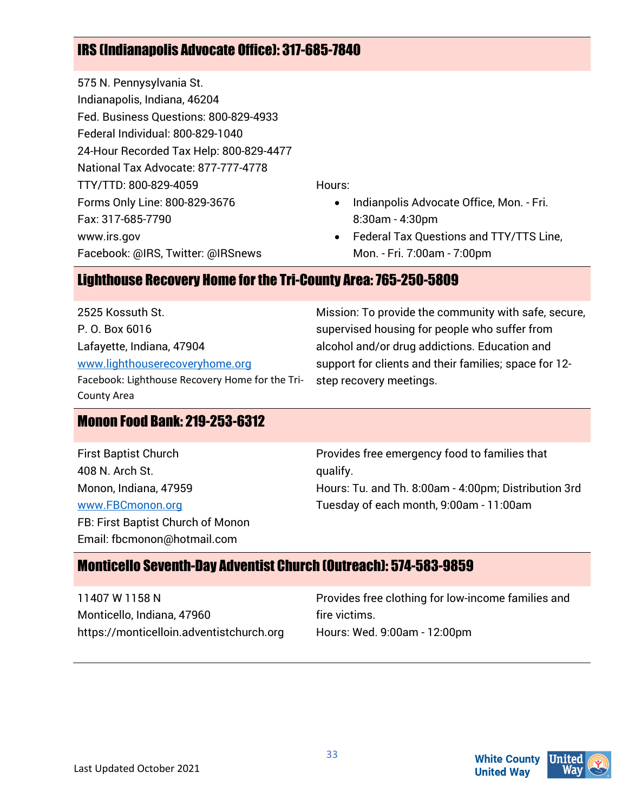# IRS (Indianapolis Advocate Office): 317-685-7840

575 N. Pennysylvania St. Indianapolis, Indiana, 46204 Fed. Business Questions: 800-829-4933 Federal Individual: 800-829-1040 24-Hour Recorded Tax Help: 800-829-4477 National Tax Advocate: 877-777-4778 TTY/TTD: 800-829-4059 Forms Only Line: 800-829-3676 Fax: 317-685-7790 www.irs.gov Facebook: @IRS, Twitter: @IRSnews

Hours:

- Indianpolis Advocate Office, Mon. Fri. 8:30am - 4:30pm
- Federal Tax Questions and TTY/TTS Line, Mon. - Fri. 7:00am - 7:00pm

#### Lighthouse Recovery Home for the Tri-County Area: 765-250-5809

2525 Kossuth St. P. O. Box 6016 Lafayette, Indiana, 47904 [www.lighthouserecoveryhome.org](http://www.lighthouserecoveryhome.org/) Facebook: Lighthouse Recovery Home for the Tri-County Area

#### Monon Food Bank: 219-253-6312

First Baptist Church 408 N. Arch St. Monon, Indiana, 47959 [www.FBCmonon.org](http://www.fbcmonon.org/) FB: First Baptist Church of Monon Email: fbcmonon@hotmail.com

Mission: To provide the community with safe, secure, supervised housing for people who suffer from alcohol and/or drug addictions. Education and support for clients and their families; space for 12 step recovery meetings.

Provides free emergency food to families that qualify. Hours: Tu. and Th. 8:00am - 4:00pm; Distribution 3rd Tuesday of each month, 9:00am - 11:00am

#### Monticello Seventh-Day Adventist Church (Outreach): 574-583-9859

11407 W 1158 N Monticello, Indiana, 47960 https://monticelloin.adventistchurch.org Provides free clothing for low-income families and fire victims. Hours: Wed. 9:00am - 12:00pm

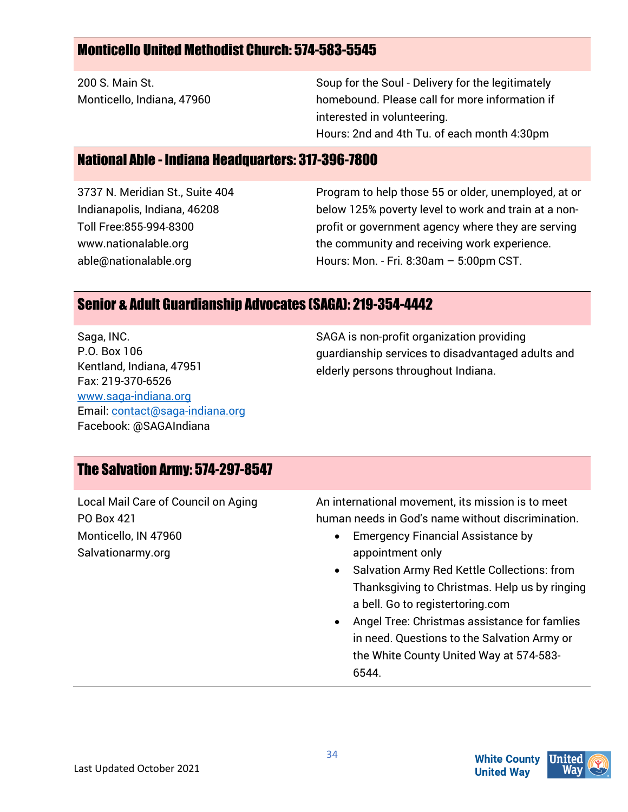#### Monticello United Methodist Church: 574-583-5545

200 S. Main St. Monticello, Indiana, 47960 Soup for the Soul - Delivery for the legitimately homebound. Please call for more information if interested in volunteering. Hours: 2nd and 4th Tu. of each month 4:30pm

#### National Able - Indiana Headquarters: 317-396-7800

3737 N. Meridian St., Suite 404 Indianapolis, Indiana, 46208 Toll Free:855-994-8300 www.nationalable.org able@nationalable.org

Program to help those 55 or older, unemployed, at or below 125% poverty level to work and train at a nonprofit or government agency where they are serving the community and receiving work experience. Hours: Mon. - Fri. 8:30am – 5:00pm CST.

#### Senior & Adult Guardianship Advocates (SAGA): 219-354-4442

Saga, INC. P.O. Box 106 Kentland, Indiana, 47951 Fax: 219-370-6526 [www.saga-indiana.org](http://www.saga-indiana.org/) Email[: contact@saga-indiana.org](mailto:contact@saga-indiana.org) Facebook: @SAGAIndiana

SAGA is non-profit organization providing guardianship services to disadvantaged adults and elderly persons throughout Indiana.

#### The Salvation Army: 574-297-8547

Local Mail Care of Council on Aging PO Box 421 Monticello, IN 47960 Salvationarmy.org

An international movement, its mission is to meet human needs in God's name without discrimination.

- Emergency Financial Assistance by appointment only
- Salvation Army Red Kettle Collections: from Thanksgiving to Christmas. Help us by ringing a bell. Go to registertoring.com
- Angel Tree: Christmas assistance for famlies in need. Questions to the Salvation Army or the White County United Way at 574-583- 6544.

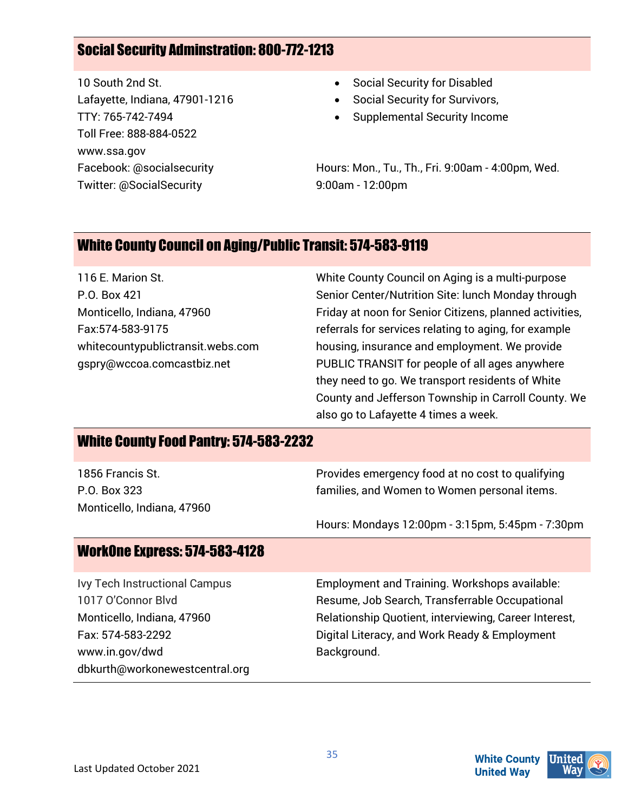### Social Security Adminstration: 800-772-1213

10 South 2nd St. Lafayette, Indiana, 47901-1216 TTY: 765-742-7494 Toll Free: 888-884-0522 www.ssa.gov Facebook: @socialsecurity Twitter: @SocialSecurity

- Social Security for Disabled
- Social Security for Survivors,
- Supplemental Security Income

Hours: Mon., Tu., Th., Fri. 9:00am - 4:00pm, Wed. 9:00am - 12:00pm

#### White County Council on Aging/Public Transit: 574-583-9119

116 E. Marion St. P.O. Box 421 Monticello, Indiana, 47960 Fax:574-583-9175 whitecountypublictransit.webs.com gspry@wccoa.comcastbiz.net

White County Council on Aging is a multi-purpose Senior Center/Nutrition Site: lunch Monday through Friday at noon for Senior Citizens, planned activities, referrals for services relating to aging, for example housing, insurance and employment. We provide PUBLIC TRANSIT for people of all ages anywhere they need to go. We transport residents of White County and Jefferson Township in Carroll County. We also go to Lafayette 4 times a week.

#### White County Food Pantry: 574-583-2232

| 1856 Francis St.           | Provides emergency food at no cost to qualifying |
|----------------------------|--------------------------------------------------|
| P.O. Box 323               | families, and Women to Women personal items.     |
| Monticello, Indiana, 47960 |                                                  |
|                            | Hours: Mondays 12:00pm - 3:15pm, 5:45pm - 7:30pm |

35

#### WorkOne Express: 574-583-4128

Ivy Tech Instructional Campus 1017 O'Connor Blvd Monticello, Indiana, 47960 Fax: 574-583-2292 www.in.gov/dwd dbkurth@workonewestcentral.org Employment and Training. Workshops available: Resume, Job Search, Transferrable Occupational Relationship Quotient, interviewing, Career Interest, Digital Literacy, and Work Ready & Employment Background.



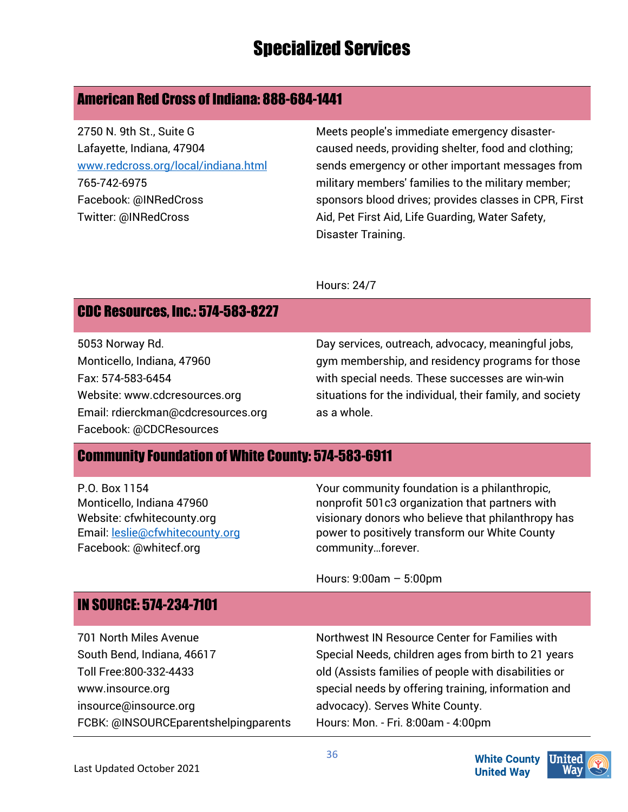# Specialized Services

#### American Red Cross of Indiana: 888-684-1441

2750 N. 9th St., Suite G Lafayette, Indiana, 47904 [www.redcross.org/local/indiana.html](http://www.redcross.org/local/indiana.html) 765-742-6975 Facebook: @INRedCross Twitter: @INRedCross

Meets people's immediate emergency disastercaused needs, providing shelter, food and clothing; sends emergency or other important messages from military members' families to the military member; sponsors blood drives; provides classes in CPR, First Aid, Pet First Aid, Life Guarding, Water Safety, Disaster Training.

Hours: 24/7

### CDC Resources, Inc.: 574-583-8227

5053 Norway Rd. Monticello, Indiana, 47960 Fax: 574-583-6454 Website: www.cdcresources.org Email: rdierckman@cdcresources.org Facebook: @CDCResources

Day services, outreach, advocacy, meaningful jobs, gym membership, and residency programs for those with special needs. These successes are win-win situations for the individual, their family, and society as a whole.

#### Community Foundation of White County: 574-583-6911

P.O. Box 1154 Monticello, Indiana 47960 Website: cfwhitecounty.org Email[: leslie@cfwhitecounty.org](mailto:leslie@cfwhitecounty.org)  Facebook: @whitecf.org

Your community foundation is a philanthropic, nonprofit 501c3 organization that partners with visionary donors who believe that philanthropy has power to positively transform our White County community…forever.

Hours: 9:00am – 5:00pm

36

#### IN SOURCE: 574-234-7101

701 North Miles Avenue South Bend, Indiana, 46617 Toll Free:800-332-4433 www.insource.org insource@insource.org FCBK: @INSOURCEparentshelpingparents Northwest IN Resource Center for Families with Special Needs, children ages from birth to 21 years old (Assists families of people with disabilities or special needs by offering training, information and advocacy). Serves White County. Hours: Mon. - Fri. 8:00am - 4:00pm

> **United** Wav



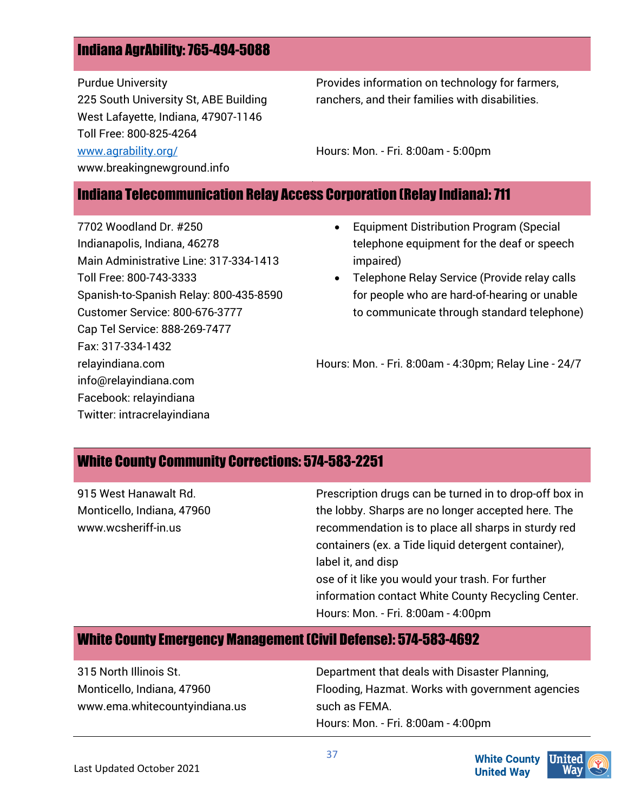#### Indiana AgrAbility: 765-494-5088

Purdue University 225 South University St, ABE Building West Lafayette, Indiana, 47907-1146 Toll Free: 800-825-4264 [www.agrability.org/](http://www.agrability.org/)

www.breakingnewground.info

Provides information on technology for farmers, ranchers, and their families with disabilities.

Hours: Mon. - Fri. 8:00am - 5:00pm

#### Indiana Telecommunication Relay Access Corporation (Relay Indiana): 711

7702 Woodland Dr. #250 Indianapolis, Indiana, 46278 Main Administrative Line: 317-334-1413 Toll Free: 800-743-3333 Spanish-to-Spanish Relay: 800-435-8590 Customer Service: 800-676-3777 Cap Tel Service: 888-269-7477 Fax: 317-334-1432 relayindiana.com info@relayindiana.com Facebook: relayindiana Twitter: intracrelayindiana

- Equipment Distribution Program (Special telephone equipment for the deaf or speech impaired)
- Telephone Relay Service (Provide relay calls for people who are hard-of-hearing or unable to communicate through standard telephone)

Hours: Mon. - Fri. 8:00am - 4:30pm; Relay Line - 24/7

#### White County Community Corrections: 574-583-2251

| 915 West Hanawalt Rd.                             | Prescription drugs can be turned in to drop-off box in                                                    |
|---------------------------------------------------|-----------------------------------------------------------------------------------------------------------|
| Monticello, Indiana, 47960<br>www.wcsheriff-in.us | the lobby. Sharps are no longer accepted here. The<br>recommendation is to place all sharps in sturdy red |
|                                                   | containers (ex. a Tide liquid detergent container),                                                       |
|                                                   | label it, and disp                                                                                        |
|                                                   | ose of it like you would your trash. For further                                                          |
|                                                   | information contact White County Recycling Center.                                                        |
|                                                   | Hours: Mon. - Fri. 8:00am - 4:00pm                                                                        |

### White County Emergency Management (Civil Defense): 574-583-4692

| 315 North Illinois St.        | Department that deals with Disaster Planning,    |
|-------------------------------|--------------------------------------------------|
| Monticello, Indiana, 47960    | Flooding, Hazmat. Works with government agencies |
| www.ema.whitecountyindiana.us | such as FEMA.                                    |
|                               | Hours: Mon. - Fri. 8:00am - 4:00pm               |

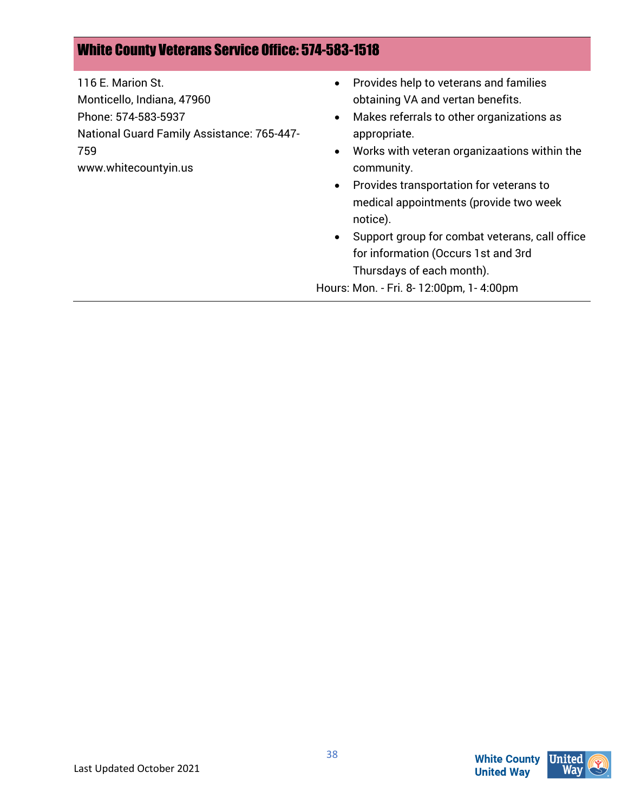#### White County Veterans Service Office: 574-583-1518

116 E. Marion St. Monticello, Indiana, 47960 Phone: 574-583-5937 National Guard Family Assistance: 765-447- 759 www.whitecountyin.us

- Provides help to veterans and families obtaining VA and vertan benefits.
- Makes referrals to other organizations as appropriate.
- Works with veteran organizaations within the community.
- Provides transportation for veterans to medical appointments (provide two week notice).
- Support group for combat veterans, call office for information (Occurs 1st and 3rd Thursdays of each month).

Hours: Mon. - Fri. 8- 12:00pm, 1- 4:00pm

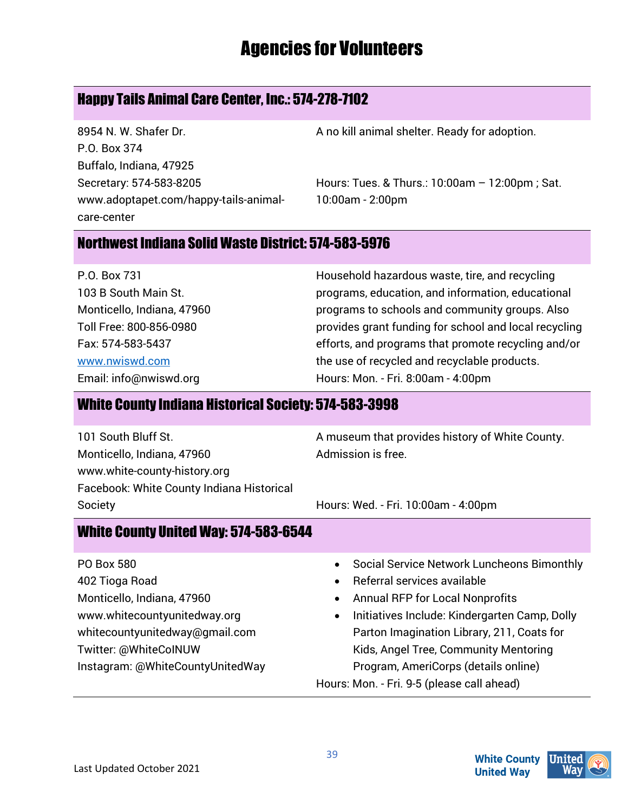# Agencies for Volunteers

# Happy Tails Animal Care Center, Inc.: 574-278-7102

8954 N. W. Shafer Dr. P.O. Box 374 Buffalo, Indiana, 47925 Secretary: 574-583-8205 www.adoptapet.com/happy-tails-animalcare-center

A no kill animal shelter. Ready for adoption.

Hours: Tues. & Thurs.: 10:00am – 12:00pm ; Sat. 10:00am - 2:00pm

#### Northwest Indiana Solid Waste District: 574-583-5976

P.O. Box 731 103 B South Main St. Monticello, Indiana, 47960 Toll Free: 800-856-0980 Fax: 574-583-5437 [www.nwiswd.com](http://www.nwiswd.com/) Email: info@nwiswd.org

Household hazardous waste, tire, and recycling programs, education, and information, educational programs to schools and community groups. Also provides grant funding for school and local recycling efforts, and programs that promote recycling and/or the use of recycled and recyclable products. Hours: Mon. - Fri. 8:00am - 4:00pm

#### White County Indiana Historical Society: 574-583-3998

101 South Bluff St. Monticello, Indiana, 47960 www.white-county-history.org Facebook: White County Indiana Historical Society

A museum that provides history of White County. Admission is free.

Hours: Wed. - Fri. 10:00am - 4:00pm

#### White County United Way: 574-583-6544

- PO Box 580 402 Tioga Road Monticello, Indiana, 47960 www.whitecountyunitedway.org whitecountyunitedway@gmail.com Twitter: @WhiteCoINUW Instagram: @WhiteCountyUnitedWay
- Social Service Network Luncheons Bimonthly
- Referral services available
- Annual RFP for Local Nonprofits
- Initiatives Include: Kindergarten Camp, Dolly Parton Imagination Library, 211, Coats for Kids, Angel Tree, Community Mentoring Program, AmeriCorps (details online) Hours: Mon. - Fri. 9-5 (please call ahead)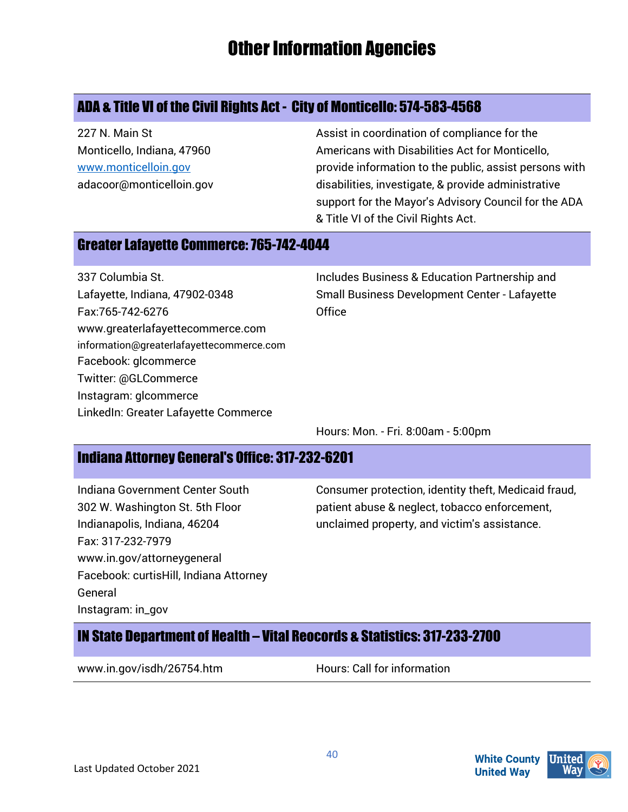# Other Information Agencies

# ADA & Title VI of the Civil Rights Act - City of Monticello: 574-583-4568

227 N. Main St Monticello, Indiana, 47960 [www.monticelloin.gov](http://www.monticelloin.gov/) adacoor@monticelloin.gov Assist in coordination of compliance for the Americans with Disabilities Act for Monticello, provide information to the public, assist persons with disabilities, investigate, & provide administrative support for the Mayor's Advisory Council for the ADA & Title VI of the Civil Rights Act.

#### Greater Lafayette Commerce: 765-742-4044

337 Columbia St. Lafayette, Indiana, 47902-0348 Fax:765-742-6276 www.greaterlafayettecommerce.com information@greaterlafayettecommerce.com Facebook: glcommerce Twitter: @GLCommerce Instagram: glcommerce LinkedIn: Greater Lafayette Commerce

Includes Business & Education Partnership and Small Business Development Center - Lafayette **Office** 

Hours: Mon. - Fri. 8:00am - 5:00pm

#### Indiana Attorney General's Office: 317-232-6201

Indiana Government Center South 302 W. Washington St. 5th Floor Indianapolis, Indiana, 46204 Fax: 317-232-7979 www.in.gov/attorneygeneral Facebook: curtisHill, Indiana Attorney General Instagram: in\_gov

Consumer protection, identity theft, Medicaid fraud, patient abuse & neglect, tobacco enforcement, unclaimed property, and victim's assistance.

# IN State Department of Health – Vital Reocords & Statistics: 317-233-2700

www.in.gov/isdh/26754.htm Hours: Call for information



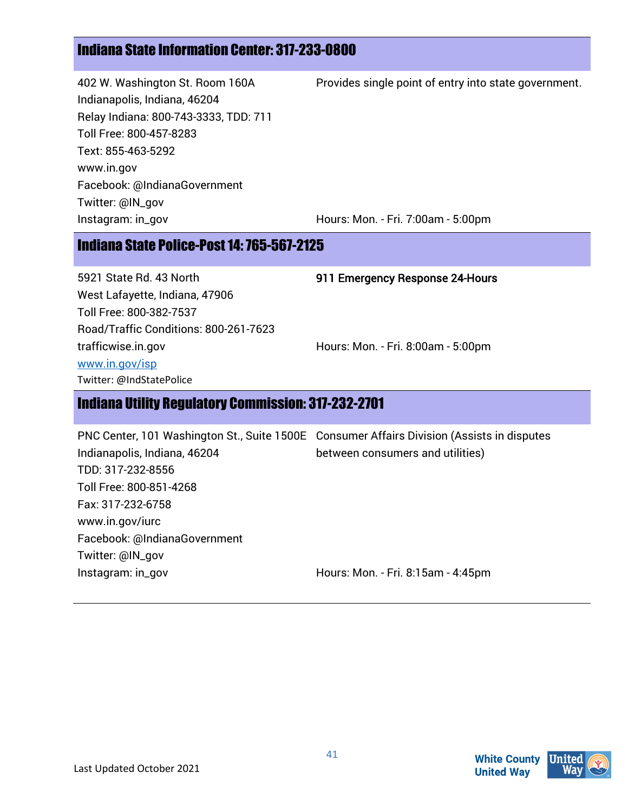# Indiana State Information Center: 317-233-0800

402 W. Washington St. Room 160A Indianapolis, Indiana, 46204 Relay Indiana: 800-743-3333, TDD: 711 Toll Free: 800-457-8283 Text: 855-463-5292 www.in.gov Facebook: @IndianaGovernment Twitter: @IN\_gov Instagram: in\_gov

Provides single point of entry into state government.

Hours: Mon. - Fri. 7:00am - 5:00pm

#### Indiana State Police-Post 14: 765-567-2125

5921 State Rd. 43 North West Lafayette, Indiana, 47906 Toll Free: 800-382-7537 Road/Traffic Conditions: 800-261-7623 trafficwise.in.gov [www.in.gov/isp](http://www.in.gov/isp) Twitter: @IndStatePolice

911 Emergency Response 24-Hours

Hours: Mon. - Fri. 8:00am - 5:00pm

#### Indiana Utility Regulatory Commission: 317-232-2701

PNC Center, 101 Washington St., Suite 1500E Consumer Affairs Division (Assists in disputes Indianapolis, Indiana, 46204 TDD: 317-232-8556 Toll Free: 800-851-4268 Fax: 317-232-6758 www.in.gov/iurc Facebook: @IndianaGovernment Twitter: @IN\_gov Instagram: in\_gov between consumers and utilities) Hours: Mon. - Fri. 8:15am - 4:45pm



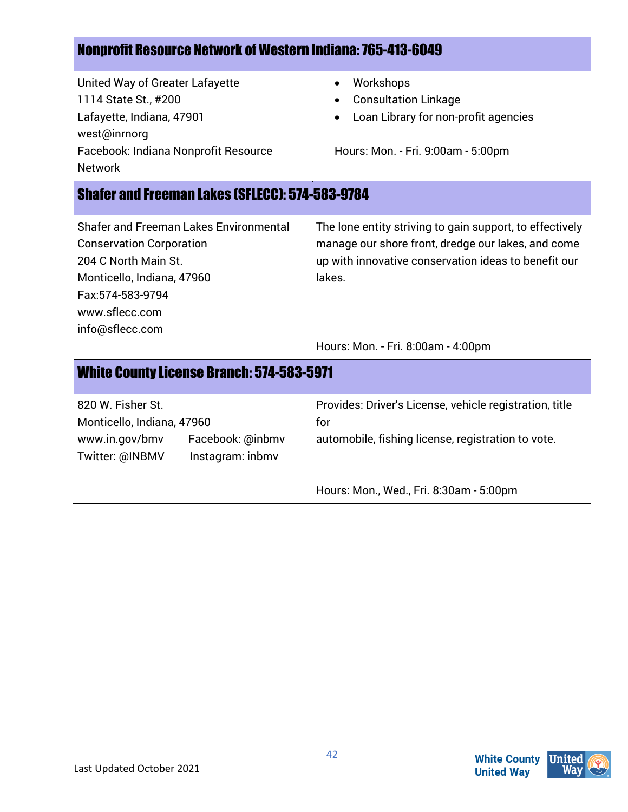### Nonprofit Resource Network of Western Indiana: 765-413-6049

United Way of Greater Lafayette 1114 State St., #200 Lafayette, Indiana, 47901 west@inrnorg Facebook: Indiana Nonprofit Resource Network

- Workshops
- Consultation Linkage
- Loan Library for non-profit agencies

Hours: Mon. - Fri. 9:00am - 5:00pm

#### Shafer and Freeman Lakes (SFLECC): 574-583-9784

Shafer and Freeman Lakes Environmental Conservation Corporation 204 C North Main St. Monticello, Indiana, 47960 Fax:574-583-9794 www.sflecc.com info@sflecc.com

The lone entity striving to gain support, to effectively manage our shore front, dredge our lakes, and come up with innovative conservation ideas to benefit our lakes.

Hours: Mon. - Fri. 8:00am - 4:00pm

#### White County License Branch: 574-583-5971 820 W. Fisher St. Monticello, Indiana, 47960 www.in.gov/bmv Facebook: @inbmv Twitter: @INBMV Instagram: inbmv Provides: Driver's License, vehicle registration, title for automobile, fishing license, registration to vote.

Hours: Mon., Wed., Fri. 8:30am - 5:00pm

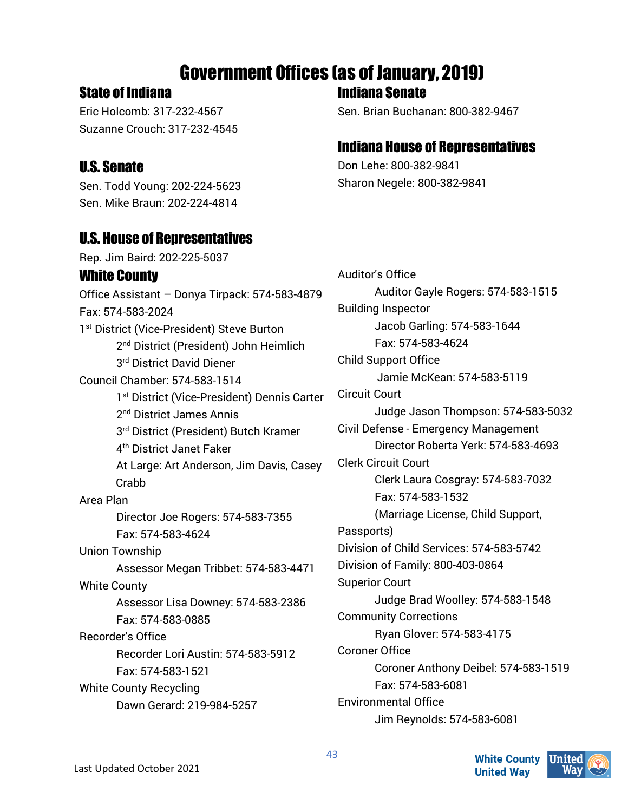# Government Offices (as of January, 2019)

#### State of Indiana

Eric Holcomb: 317-232-4567 Suzanne Crouch: 317-232-4545

# U.S. Senate

Sen. Todd Young: 202-224-5623 Sen. Mike Braun: 202-224-4814

# U.S. House of Representatives

Rep. Jim Baird: 202-225-5037 White County Office Assistant – Donya Tirpack: 574-583-4879 Fax: 574-583-2024 1<sup>st</sup> District (Vice-President) Steve Burton 2<sup>nd</sup> District (President) John Heimlich 3rd District David Diener Council Chamber: 574-583-1514 1<sup>st</sup> District (Vice-President) Dennis Carter 2nd District James Annis 3rd District (President) Butch Kramer 4th District Janet Faker At Large: Art Anderson, Jim Davis, Casey **Crabb** Area Plan Director Joe Rogers: 574-583-7355 Fax: 574-583-4624 Union Township Assessor Megan Tribbet: 574-583-4471 White County Assessor Lisa Downey: 574-583-2386 Fax: 574-583-0885 Recorder's Office Recorder Lori Austin: 574-583-5912 Fax: 574-583-1521 White County Recycling Dawn Gerard: 219-984-5257

Indiana Senate

Sen. Brian Buchanan: 800-382-9467

# Indiana House of Representatives

Don Lehe: 800-382-9841 Sharon Negele: 800-382-9841

Auditor's Office Auditor Gayle Rogers: 574-583-1515 Building Inspector Jacob Garling: 574-583-1644 Fax: 574-583-4624 Child Support Office Jamie McKean: 574-583-5119 Circuit Court Judge Jason Thompson: 574-583-5032 Civil Defense - Emergency Management Director Roberta Yerk: 574-583-4693 Clerk Circuit Court Clerk Laura Cosgray: 574-583-7032 Fax: 574-583-1532 (Marriage License, Child Support, Passports) Division of Child Services: 574-583-5742 Division of Family: 800-403-0864 Superior Court Judge Brad Woolley: 574-583-1548 Community Corrections Ryan Glover: 574-583-4175 Coroner Office Coroner Anthony Deibel: 574-583-1519 Fax: 574-583-6081 Environmental Office Jim Reynolds: 574-583-6081

**White County**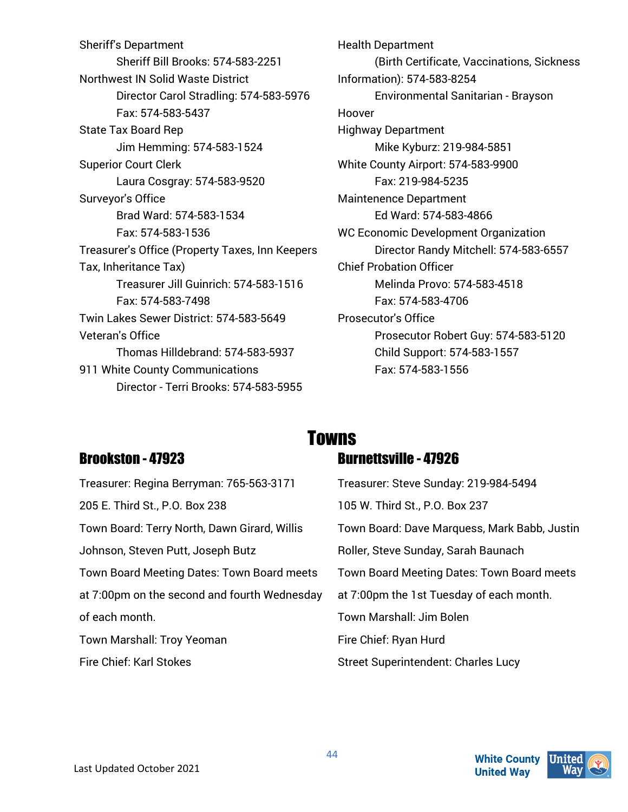Sheriff's Department Sheriff Bill Brooks: 574-583-2251 Northwest IN Solid Waste District Director Carol Stradling: 574-583-5976 Fax: 574-583-5437 State Tax Board Rep Jim Hemming: 574-583-1524 Superior Court Clerk Laura Cosgray: 574-583-9520 Surveyor's Office Brad Ward: 574-583-1534 Fax: 574-583-1536 Treasurer's Office (Property Taxes, Inn Keepers Tax, Inheritance Tax) Treasurer Jill Guinrich: 574-583-1516 Fax: 574-583-7498 Twin Lakes Sewer District: 574-583-5649 Veteran's Office Thomas Hilldebrand: 574-583-5937 911 White County Communications Director - Terri Brooks: 574-583-5955

Health Department (Birth Certificate, Vaccinations, Sickness Information): 574-583-8254 Environmental Sanitarian - Brayson Hoover Highway Department Mike Kyburz: 219-984-5851 White County Airport: 574-583-9900 Fax: 219-984-5235 Maintenence Department Ed Ward: 574-583-4866 WC Economic Development Organization Director Randy Mitchell: 574-583-6557 Chief Probation Officer Melinda Provo: 574-583-4518 Fax: 574-583-4706 Prosecutor's Office Prosecutor Robert Guy: 574-583-5120 Child Support: 574-583-1557 Fax: 574-583-1556

#### Brookston - 47923

# Towns

# Burnettsville - 47926

| Treasurer: Regina Berryman: 765-563-3171     | Treasurer: Steve Sunday: 219-984-5494        |
|----------------------------------------------|----------------------------------------------|
| 205 E. Third St., P.O. Box 238               | 105 W. Third St., P.O. Box 237               |
| Town Board: Terry North, Dawn Girard, Willis | Town Board: Dave Marquess, Mark Babb, Justin |
| Johnson, Steven Putt, Joseph Butz            | Roller, Steve Sunday, Sarah Baunach          |
| Town Board Meeting Dates: Town Board meets   | Town Board Meeting Dates: Town Board meets   |
| at 7:00pm on the second and fourth Wednesday | at 7:00pm the 1st Tuesday of each month.     |
| of each month.                               | Town Marshall: Jim Bolen                     |
| Town Marshall: Troy Yeoman                   | Fire Chief: Ryan Hurd                        |
| <b>Fire Chief: Karl Stokes</b>               | <b>Street Superintendent: Charles Lucy</b>   |
|                                              |                                              |

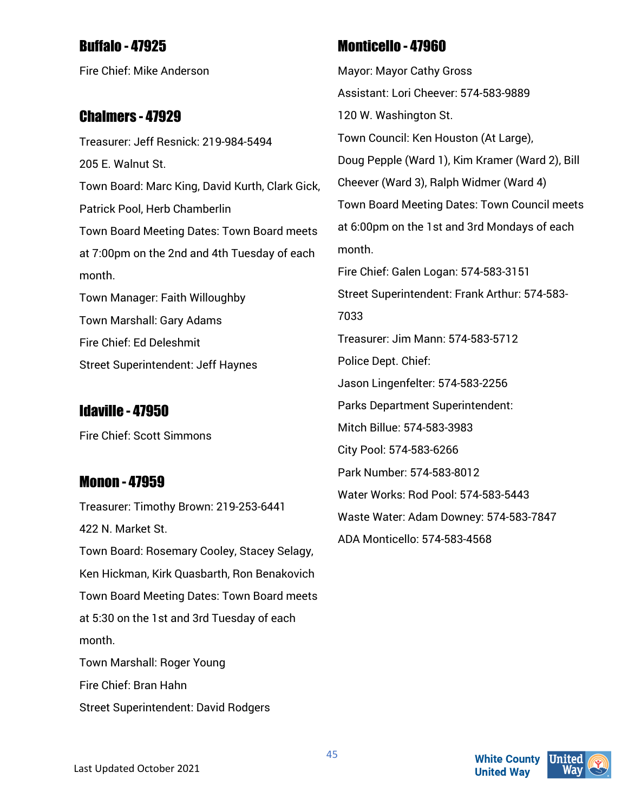# Buffalo - 47925

Fire Chief: Mike Anderson

#### Chalmers - 47929

Treasurer: Jeff Resnick: 219-984-5494 205 E. Walnut St. Town Board: Marc King, David Kurth, Clark Gick, Patrick Pool, Herb Chamberlin Town Board Meeting Dates: Town Board meets at 7:00pm on the 2nd and 4th Tuesday of each month. Town Manager: Faith Willoughby Town Marshall: Gary Adams

Fire Chief: Ed Deleshmit

Street Superintendent: Jeff Haynes

# Idaville - 47950

Fire Chief: Scott Simmons

#### Monon - 47959

Treasurer: Timothy Brown: 219-253-6441 422 N. Market St. Town Board: Rosemary Cooley, Stacey Selagy, Ken Hickman, Kirk Quasbarth, Ron Benakovich Town Board Meeting Dates: Town Board meets at 5:30 on the 1st and 3rd Tuesday of each month. Town Marshall: Roger Young Fire Chief: Bran Hahn Street Superintendent: David Rodgers

# Monticello - 47960

Mayor: Mayor Cathy Gross Assistant: Lori Cheever: 574-583-9889 120 W. Washington St. Town Council: Ken Houston (At Large), Doug Pepple (Ward 1), Kim Kramer (Ward 2), Bill Cheever (Ward 3), Ralph Widmer (Ward 4) Town Board Meeting Dates: Town Council meets at 6:00pm on the 1st and 3rd Mondays of each month. Fire Chief: Galen Logan: 574-583-3151 Street Superintendent: Frank Arthur: 574-583- 7033 Treasurer: Jim Mann: 574-583-5712 Police Dept. Chief: Jason Lingenfelter: 574-583-2256 Parks Department Superintendent: Mitch Billue: 574-583-3983 City Pool: 574-583-6266 Park Number: 574-583-8012 Water Works: Rod Pool: 574-583-5443 Waste Water: Adam Downey: 574-583-7847 ADA Monticello: 574-583-4568



**White County**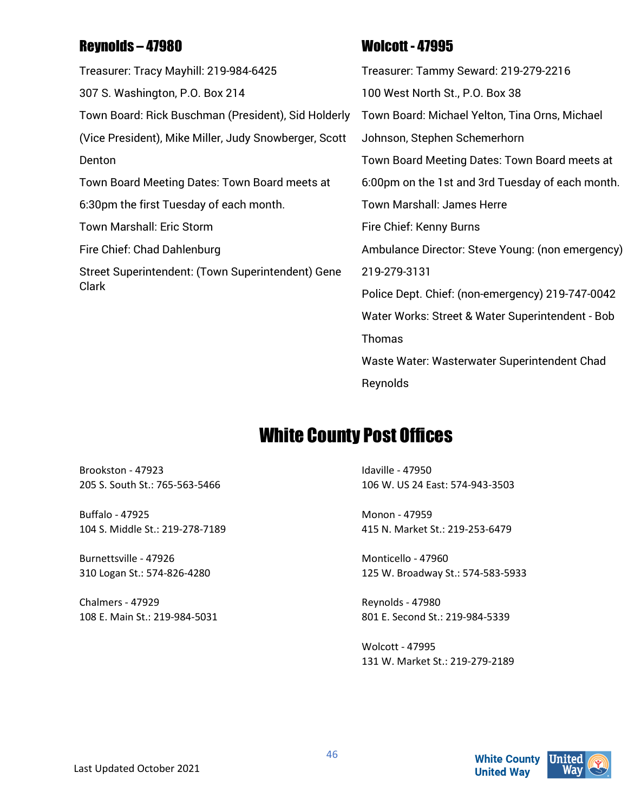# Reynolds – 47980

Treasurer: Tracy Mayhill: 219-984-6425 307 S. Washington, P.O. Box 214 Town Board: Rick Buschman (President), Sid Holderly (Vice President), Mike Miller, Judy Snowberger, Scott Denton Town Board Meeting Dates: Town Board meets at 6:30pm the first Tuesday of each month. Town Marshall: Eric Storm Fire Chief: Chad Dahlenburg Street Superintendent: (Town Superintendent) Gene Clark

# Wolcott - 47995

Treasurer: Tammy Seward: 219-279-2216 100 West North St., P.O. Box 38 Town Board: Michael Yelton, Tina Orns, Michael Johnson, Stephen Schemerhorn Town Board Meeting Dates: Town Board meets at 6:00pm on the 1st and 3rd Tuesday of each month. Town Marshall: James Herre Fire Chief: Kenny Burns Ambulance Director: Steve Young: (non emergency) 219-279-3131 Police Dept. Chief: (non-emergency) 219-747-0042 Water Works: Street & Water Superintendent - Bob Thomas Waste Water: Wasterwater Superintendent Chad Reynolds

# White County Post Offices

Brookston - 47923 205 S. South St.: 765-563-5466

Buffalo - 47925 104 S. Middle St.: 219-278-7189

Burnettsville - 47926 310 Logan St.: 574-826-4280

Chalmers - 47929 108 E. Main St.: 219-984-5031 Idaville - 47950 106 W. US 24 East: 574-943-3503

Monon - 47959 415 N. Market St.: 219-253-6479

Monticello - 47960 125 W. Broadway St.: 574-583-5933

Reynolds - 47980 801 E. Second St.: 219-984-5339

Wolcott - 47995 131 W. Market St.: 219-279-2189

**White County**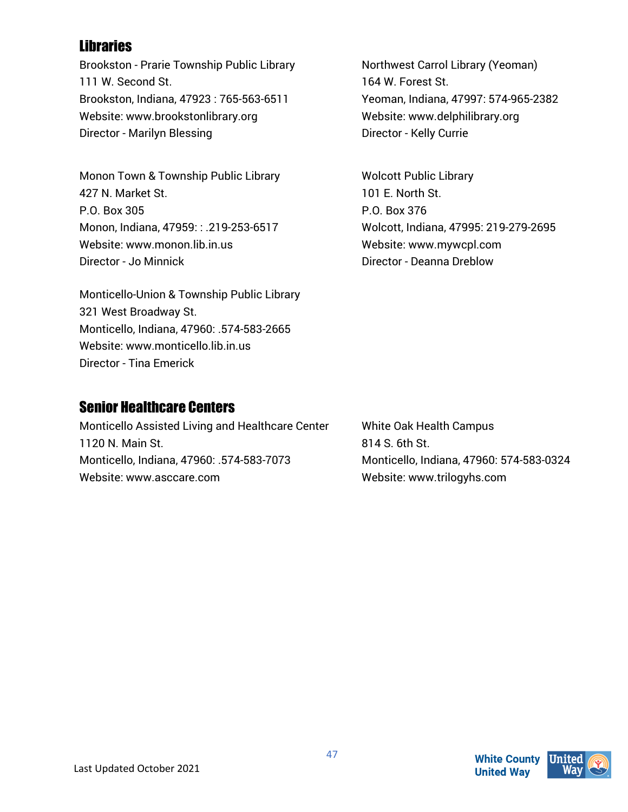# Libraries

Brookston - Prarie Township Public Library 111 W. Second St. Brookston, Indiana, 47923 : 765-563-6511 Website: www.brookstonlibrary.org Director - Marilyn Blessing

Monon Town & Township Public Library 427 N. Market St. P.O. Box 305 Monon, Indiana, 47959: : .219-253-6517 Website: www.monon.lib.in.us Director - Jo Minnick

Monticello-Union & Township Public Library 321 West Broadway St. Monticello, Indiana, 47960: .574-583-2665 Website: www.monticello.lib.in.us Director - Tina Emerick

#### Senior Healthcare Centers

Monticello Assisted Living and Healthcare Center 1120 N. Main St. Monticello, Indiana, 47960: .574-583-7073 Website: www.asccare.com

Northwest Carrol Library (Yeoman) 164 W. Forest St. Yeoman, Indiana, 47997: 574-965-2382 Website: www.delphilibrary.org Director - Kelly Currie

Wolcott Public Library 101 E. North St. P.O. Box 376 Wolcott, Indiana, 47995: 219-279-2695 Website: www.mywcpl.com Director - Deanna Dreblow

White Oak Health Campus 814 S. 6th St. Monticello, Indiana, 47960: 574-583-0324 Website: www.trilogyhs.com

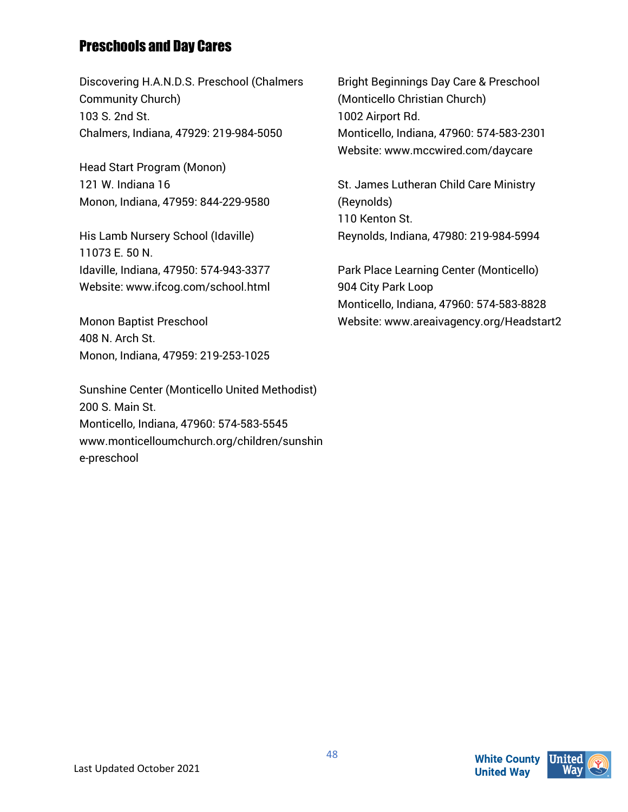# Preschools and Day Cares

Discovering H.A.N.D.S. Preschool (Chalmers Community Church) 103 S. 2nd St. Chalmers, Indiana, 47929: 219-984-5050

Head Start Program (Monon) 121 W. Indiana 16 Monon, Indiana, 47959: 844-229-9580

His Lamb Nursery School (Idaville) 11073 E. 50 N. Idaville, Indiana, 47950: 574-943-3377 Website: www.ifcog.com/school.html

Monon Baptist Preschool 408 N. Arch St. Monon, Indiana, 47959: 219-253-1025

Sunshine Center (Monticello United Methodist) 200 S. Main St. Monticello, Indiana, 47960: 574-583-5545 www.monticelloumchurch.org/children/sunshin e-preschool

Bright Beginnings Day Care & Preschool (Monticello Christian Church) 1002 Airport Rd. Monticello, Indiana, 47960: 574-583-2301 Website: www.mccwired.com/daycare

St. James Lutheran Child Care Ministry (Reynolds) 110 Kenton St. Reynolds, Indiana, 47980: 219-984-5994

Park Place Learning Center (Monticello) 904 City Park Loop Monticello, Indiana, 47960: 574-583-8828 Website: www.areaivagency.org/Headstart2

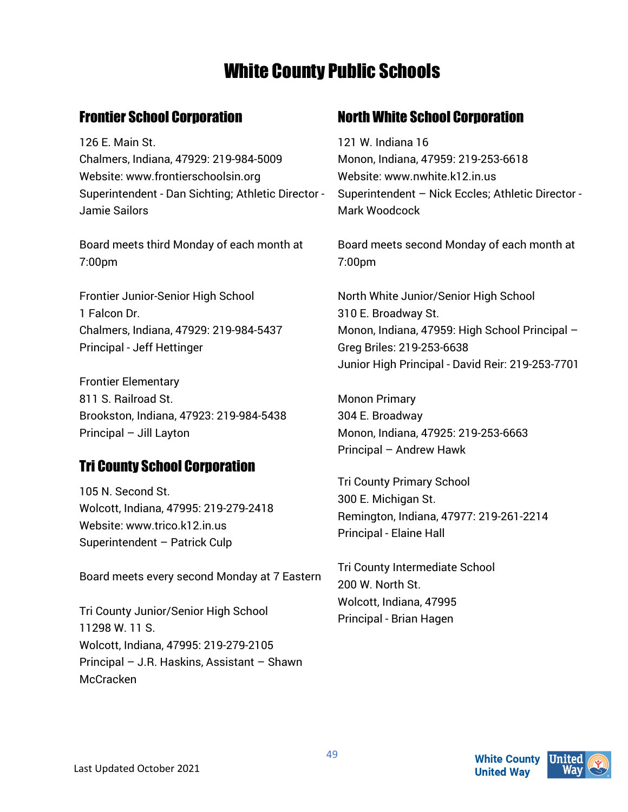# White County Public Schools

# Frontier School Corporation

126 E. Main St. Chalmers, Indiana, 47929: 219-984-5009 Website: www.frontierschoolsin.org Superintendent - Dan Sichting; Athletic Director - Jamie Sailors

Board meets third Monday of each month at 7:00pm

Frontier Junior-Senior High School 1 Falcon Dr. Chalmers, Indiana, 47929: 219-984-5437 Principal - Jeff Hettinger

Frontier Elementary 811 S. Railroad St. Brookston, Indiana, 47923: 219-984-5438 Principal – Jill Layton

# Tri County School Corporation

105 N. Second St. Wolcott, Indiana, 47995: 219-279-2418 Website: www.trico.k12.in.us Superintendent – Patrick Culp

Board meets every second Monday at 7 Eastern

Tri County Junior/Senior High School 11298 W. 11 S. Wolcott, Indiana, 47995: 219-279-2105 Principal – J.R. Haskins, Assistant – Shawn **McCracken** 

# North White School Corporation

121 W. Indiana 16 Monon, Indiana, 47959: 219-253-6618 Website: www.nwhite.k12.in.us Superintendent – Nick Eccles; Athletic Director - Mark Woodcock

Board meets second Monday of each month at 7:00pm

North White Junior/Senior High School 310 E. Broadway St. Monon, Indiana, 47959: High School Principal – Greg Briles: 219-253-6638 Junior High Principal - David Reir: 219-253-7701

Monon Primary 304 E. Broadway Monon, Indiana, 47925: 219-253-6663 Principal – Andrew Hawk

Tri County Primary School 300 E. Michigan St. Remington, Indiana, 47977: 219-261-2214 Principal - Elaine Hall

Tri County Intermediate School 200 W. North St. Wolcott, Indiana, 47995 Principal - Brian Hagen

49

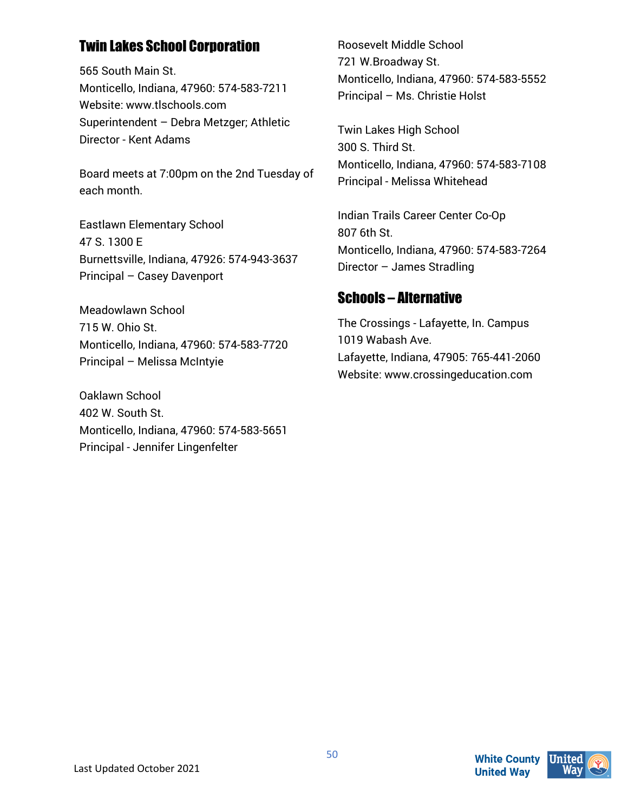# Twin Lakes School Corporation

565 South Main St. Monticello, Indiana, 47960: 574-583-7211 Website: www.tlschools.com Superintendent – Debra Metzger; Athletic Director - Kent Adams

Board meets at 7:00pm on the 2nd Tuesday of each month.

Eastlawn Elementary School 47 S. 1300 E Burnettsville, Indiana, 47926: 574-943-3637 Principal – Casey Davenport

Meadowlawn School 715 W. Ohio St. Monticello, Indiana, 47960: 574-583-7720 Principal – Melissa McIntyie

Oaklawn School 402 W. South St. Monticello, Indiana, 47960: 574-583-5651 Principal - Jennifer Lingenfelter

Roosevelt Middle School 721 W.Broadway St. Monticello, Indiana, 47960: 574-583-5552 Principal – Ms. Christie Holst

Twin Lakes High School 300 S. Third St. Monticello, Indiana, 47960: 574-583-7108 Principal - Melissa Whitehead

Indian Trails Career Center Co-Op 807 6th St. Monticello, Indiana, 47960: 574-583-7264 Director – James Stradling

### Schools – Alternative

The Crossings - Lafayette, In. Campus 1019 Wabash Ave. Lafayette, Indiana, 47905: 765-441-2060 Website: www.crossingeducation.com